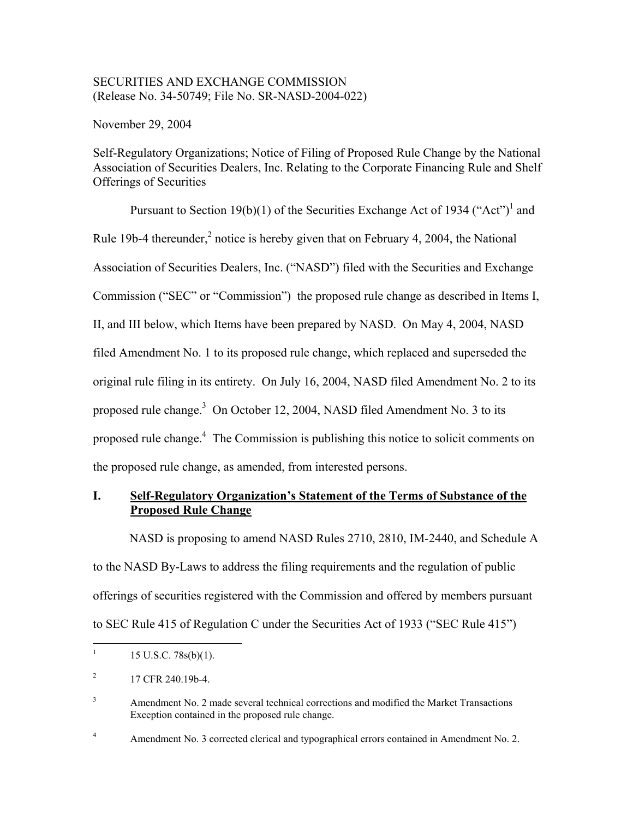# SECURITIES AND EXCHANGE COMMISSION (Release No. 34-50749; File No. SR-NASD-2004-022)

November 29, 2004

Self-Regulatory Organizations; Notice of Filing of Proposed Rule Change by the National Association of Securities Dealers, Inc. Relating to the Corporate Financing Rule and Shelf Offerings of Securities

Pursuant to Section 19(b)(1) of the Securities Exchange Act of 1934 ("Act")<sup>1</sup> and Rule 19b-4 thereunder, $^2$  notice is hereby given that on February 4, 2004, the National Association of Securities Dealers, Inc. ("NASD") filed with the Securities and Exchange Commission ("SEC" or "Commission") the proposed rule change as described in Items I, II, and III below, which Items have been prepared by NASD. On May 4, 2004, NASD filed Amendment No. 1 to its proposed rule change, which replaced and superseded the original rule filing in its entirety. On July 16, 2004, NASD filed Amendment No. 2 to its proposed rule change.<sup>3</sup> On October 12, 2004, NASD filed Amendment No. 3 to its proposed rule change.<sup>4</sup> The Commission is publishing this notice to solicit comments on the proposed rule change, as amended, from interested persons.

# **I. Self-Regulatory Organization's Statement of the Terms of Substance of the Proposed Rule Change**

NASD is proposing to amend NASD Rules 2710, 2810, IM-2440, and Schedule A to the NASD By-Laws to address the filing requirements and the regulation of public offerings of securities registered with the Commission and offered by members pursuant to SEC Rule 415 of Regulation C under the Securities Act of 1933 ("SEC Rule 415")

4 Amendment No. 3 corrected clerical and typographical errors contained in Amendment No. 2.

 $\frac{1}{1}$ 15 U.S.C. 78s(b)(1).

<sup>2</sup> 17 CFR 240.19b-4.

<sup>3</sup> Amendment No. 2 made several technical corrections and modified the Market Transactions Exception contained in the proposed rule change.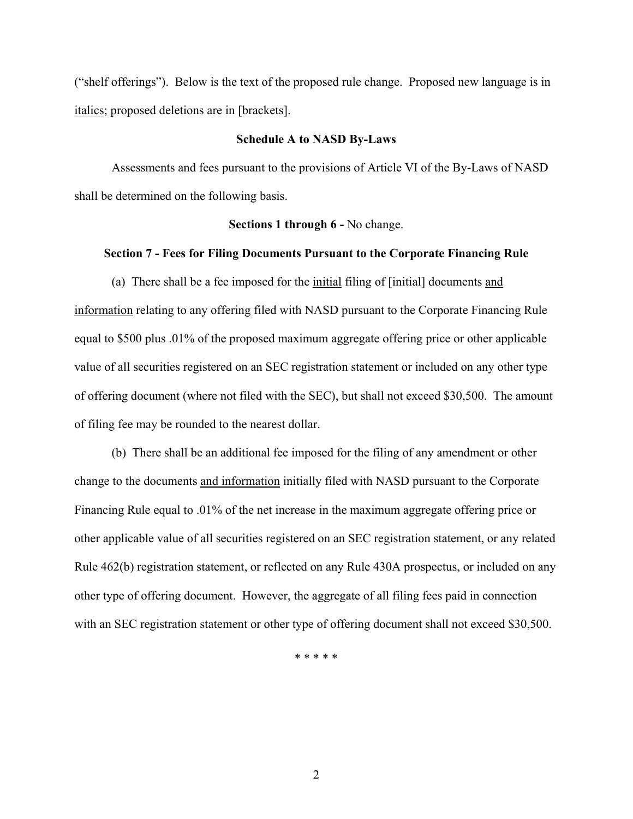("shelf offerings"). Below is the text of the proposed rule change. Proposed new language is in italics; proposed deletions are in [brackets].

## **Schedule A to NASD By-Laws**

Assessments and fees pursuant to the provisions of Article VI of the By-Laws of NASD shall be determined on the following basis.

#### **Sections 1 through 6 -** No change.

# **Section 7 - Fees for Filing Documents Pursuant to the Corporate Financing Rule**

(a) There shall be a fee imposed for the initial filing of [initial] documents and information relating to any offering filed with NASD pursuant to the Corporate Financing Rule equal to \$500 plus .01% of the proposed maximum aggregate offering price or other applicable value of all securities registered on an SEC registration statement or included on any other type of offering document (where not filed with the SEC), but shall not exceed \$30,500. The amount of filing fee may be rounded to the nearest dollar.

(b) There shall be an additional fee imposed for the filing of any amendment or other change to the documents and information initially filed with NASD pursuant to the Corporate Financing Rule equal to .01% of the net increase in the maximum aggregate offering price or other applicable value of all securities registered on an SEC registration statement, or any related Rule 462(b) registration statement, or reflected on any Rule 430A prospectus, or included on any other type of offering document. However, the aggregate of all filing fees paid in connection with an SEC registration statement or other type of offering document shall not exceed \$30,500.

\* \* \* \* \*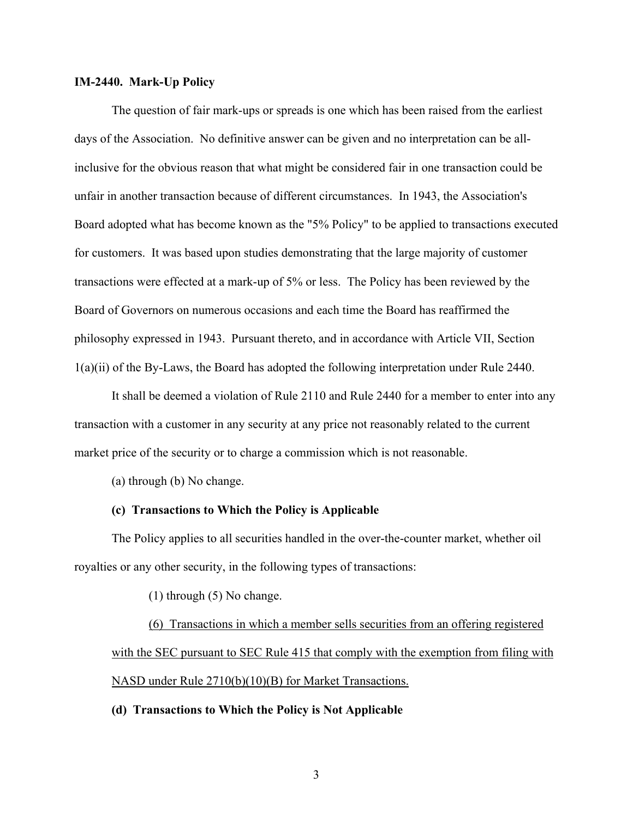## **IM-2440. Mark-Up Policy**

The question of fair mark-ups or spreads is one which has been raised from the earliest days of the Association. No definitive answer can be given and no interpretation can be allinclusive for the obvious reason that what might be considered fair in one transaction could be unfair in another transaction because of different circumstances. In 1943, the Association's Board adopted what has become known as the "5% Policy" to be applied to transactions executed for customers. It was based upon studies demonstrating that the large majority of customer transactions were effected at a mark-up of 5% or less. The Policy has been reviewed by the Board of Governors on numerous occasions and each time the Board has reaffirmed the philosophy expressed in 1943. Pursuant thereto, and in accordance with Article VII, Section 1(a)(ii) of the By-Laws, the Board has adopted the following interpretation under Rule 2440.

It shall be deemed a violation of Rule 2110 and Rule 2440 for a member to enter into any transaction with a customer in any security at any price not reasonably related to the current market price of the security or to charge a commission which is not reasonable.

(a) through (b) No change.

#### **(c) Transactions to Which the Policy is Applicable**

The Policy applies to all securities handled in the over-the-counter market, whether oil royalties or any other security, in the following types of transactions:

(1) through (5) No change.

(6) Transactions in which a member sells securities from an offering registered with the SEC pursuant to SEC Rule 415 that comply with the exemption from filing with NASD under Rule 2710(b)(10)(B) for Market Transactions.

## **(d) Transactions to Which the Policy is Not Applicable**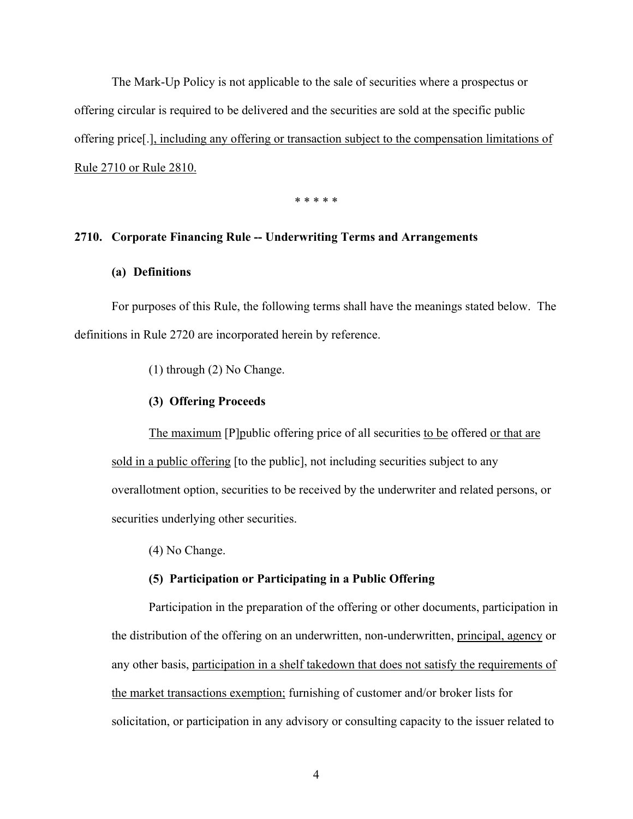The Mark-Up Policy is not applicable to the sale of securities where a prospectus or offering circular is required to be delivered and the securities are sold at the specific public offering price[.], including any offering or transaction subject to the compensation limitations of Rule 2710 or Rule 2810.

\* \* \* \* \*

# **2710. Corporate Financing Rule -- Underwriting Terms and Arrangements**

# **(a) Definitions**

For purposes of this Rule, the following terms shall have the meanings stated below. The definitions in Rule 2720 are incorporated herein by reference.

(1) through (2) No Change.

#### **(3) Offering Proceeds**

The maximum [P]public offering price of all securities to be offered or that are sold in a public offering [to the public], not including securities subject to any overallotment option, securities to be received by the underwriter and related persons, or securities underlying other securities.

(4) No Change.

## **(5) Participation or Participating in a Public Offering**

Participation in the preparation of the offering or other documents, participation in the distribution of the offering on an underwritten, non-underwritten, principal, agency or any other basis, participation in a shelf takedown that does not satisfy the requirements of the market transactions exemption; furnishing of customer and/or broker lists for solicitation, or participation in any advisory or consulting capacity to the issuer related to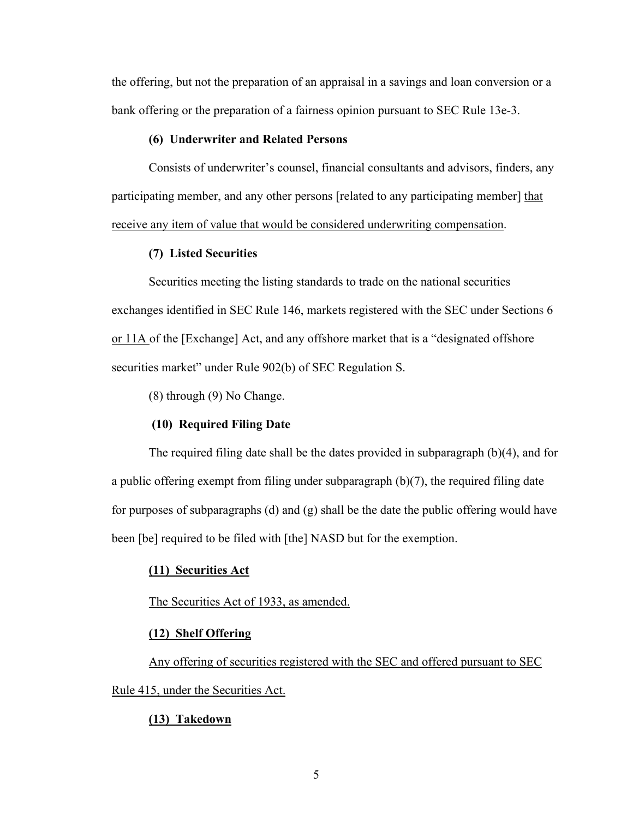the offering, but not the preparation of an appraisal in a savings and loan conversion or a bank offering or the preparation of a fairness opinion pursuant to SEC Rule 13e-3.

## **(6) Underwriter and Related Persons**

Consists of underwriter's counsel, financial consultants and advisors, finders, any participating member, and any other persons [related to any participating member] that receive any item of value that would be considered underwriting compensation.

# **(7) Listed Securities**

Securities meeting the listing standards to trade on the national securities exchanges identified in SEC Rule 146, markets registered with the SEC under Sections 6 or 11A of the [Exchange] Act, and any offshore market that is a "designated offshore securities market" under Rule 902(b) of SEC Regulation S.

(8) through (9) No Change.

## **(10) Required Filing Date**

The required filing date shall be the dates provided in subparagraph (b)(4), and for a public offering exempt from filing under subparagraph (b)(7), the required filing date for purposes of subparagraphs (d) and  $(g)$  shall be the date the public offering would have been [be] required to be filed with [the] NASD but for the exemption.

## **(11) Securities Act**

#### The Securities Act of 1933, as amended.

## **(12) Shelf Offering**

Any offering of securities registered with the SEC and offered pursuant to SEC Rule 415, under the Securities Act.

# **(13) Takedown**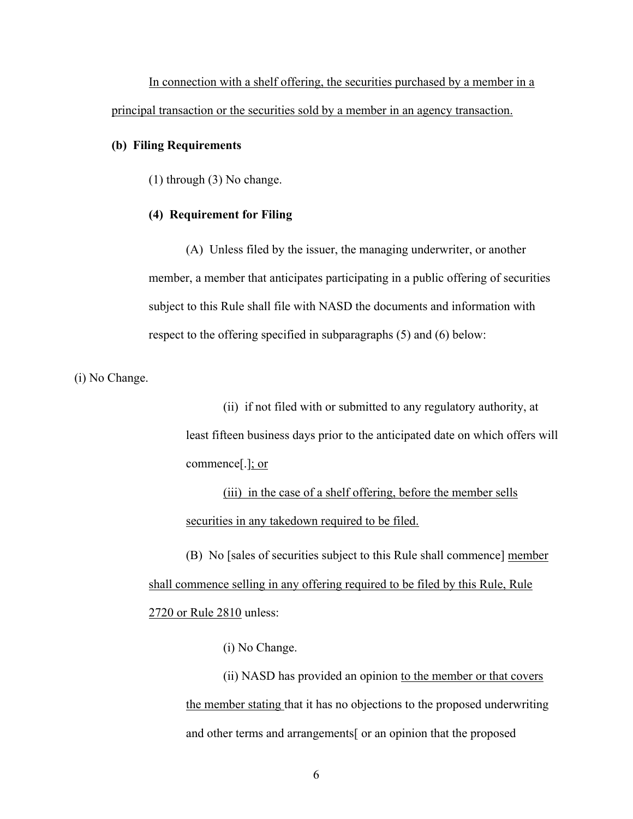In connection with a shelf offering, the securities purchased by a member in a principal transaction or the securities sold by a member in an agency transaction.

## **(b) Filing Requirements**

(1) through (3) No change.

## **(4) Requirement for Filing**

(A) Unless filed by the issuer, the managing underwriter, or another member, a member that anticipates participating in a public offering of securities subject to this Rule shall file with NASD the documents and information with respect to the offering specified in subparagraphs (5) and (6) below:

(i) No Change.

(ii) if not filed with or submitted to any regulatory authority, at least fifteen business days prior to the anticipated date on which offers will commence[.]; or

(iii) in the case of a shelf offering, before the member sells securities in any takedown required to be filed.

(B) No [sales of securities subject to this Rule shall commence] member shall commence selling in any offering required to be filed by this Rule, Rule 2720 or Rule 2810 unless:

(i) No Change.

(ii) NASD has provided an opinion to the member or that covers the member stating that it has no objections to the proposed underwriting and other terms and arrangements[ or an opinion that the proposed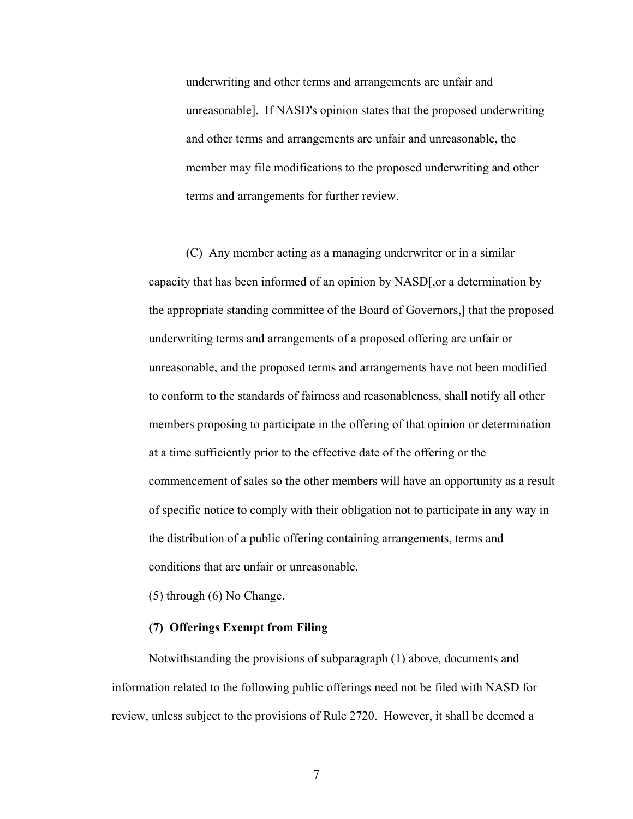underwriting and other terms and arrangements are unfair and unreasonable]. If NASD's opinion states that the proposed underwriting and other terms and arrangements are unfair and unreasonable, the member may file modifications to the proposed underwriting and other terms and arrangements for further review.

(C) Any member acting as a managing underwriter or in a similar capacity that has been informed of an opinion by NASD[,or a determination by the appropriate standing committee of the Board of Governors,] that the proposed underwriting terms and arrangements of a proposed offering are unfair or unreasonable, and the proposed terms and arrangements have not been modified to conform to the standards of fairness and reasonableness, shall notify all other members proposing to participate in the offering of that opinion or determination at a time sufficiently prior to the effective date of the offering or the commencement of sales so the other members will have an opportunity as a result of specific notice to comply with their obligation not to participate in any way in the distribution of a public offering containing arrangements, terms and conditions that are unfair or unreasonable.

(5) through (6) No Change.

# **(7) Offerings Exempt from Filing**

Notwithstanding the provisions of subparagraph (1) above, documents and information related to the following public offerings need not be filed with NASD for review, unless subject to the provisions of Rule 2720. However, it shall be deemed a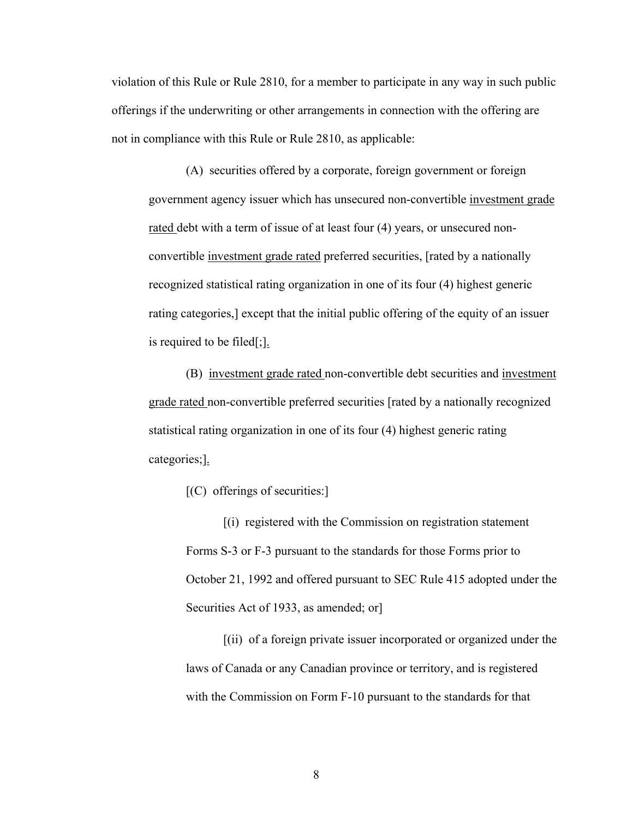violation of this Rule or Rule 2810, for a member to participate in any way in such public offerings if the underwriting or other arrangements in connection with the offering are not in compliance with this Rule or Rule 2810, as applicable:

(A) securities offered by a corporate, foreign government or foreign government agency issuer which has unsecured non-convertible investment grade rated debt with a term of issue of at least four (4) years, or unsecured nonconvertible investment grade rated preferred securities, [rated by a nationally recognized statistical rating organization in one of its four (4) highest generic rating categories,] except that the initial public offering of the equity of an issuer is required to be filed[;].

(B) investment grade rated non-convertible debt securities and investment grade rated non-convertible preferred securities [rated by a nationally recognized statistical rating organization in one of its four (4) highest generic rating categories;].

 $[C]$  offerings of securities:

[(i) registered with the Commission on registration statement Forms S-3 or F-3 pursuant to the standards for those Forms prior to October 21, 1992 and offered pursuant to SEC Rule 415 adopted under the Securities Act of 1933, as amended; or

[(ii) of a foreign private issuer incorporated or organized under the laws of Canada or any Canadian province or territory, and is registered with the Commission on Form F-10 pursuant to the standards for that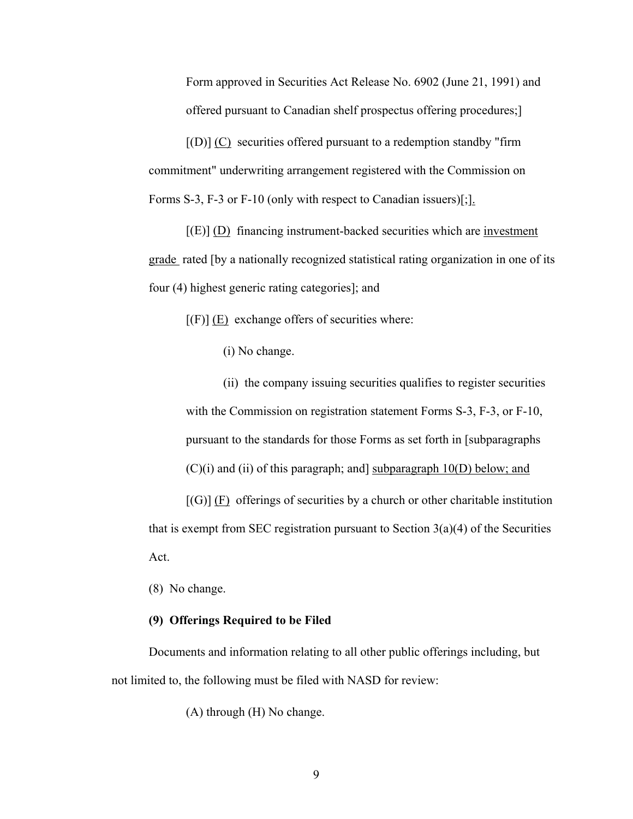Form approved in Securities Act Release No. 6902 (June 21, 1991) and offered pursuant to Canadian shelf prospectus offering procedures;]

 $[(D)]$  (C) securities offered pursuant to a redemption standby "firm commitment" underwriting arrangement registered with the Commission on Forms S-3, F-3 or F-10 (only with respect to Canadian issuers)[;].

 $[(E)]$  (D) financing instrument-backed securities which are investment grade rated [by a nationally recognized statistical rating organization in one of its four (4) highest generic rating categories]; and

 $[(F)] (E)$  exchange offers of securities where:

(i) No change.

(ii) the company issuing securities qualifies to register securities with the Commission on registration statement Forms S-3, F-3, or F-10, pursuant to the standards for those Forms as set forth in [subparagraphs  $(C)(i)$  and (ii) of this paragraph; and subparagraph 10(D) below; and

 $[(G)] (F)$  offerings of securities by a church or other charitable institution that is exempt from SEC registration pursuant to Section  $3(a)(4)$  of the Securities Act.

(8) No change.

# **(9) Offerings Required to be Filed**

Documents and information relating to all other public offerings including, but not limited to, the following must be filed with NASD for review:

(A) through (H) No change.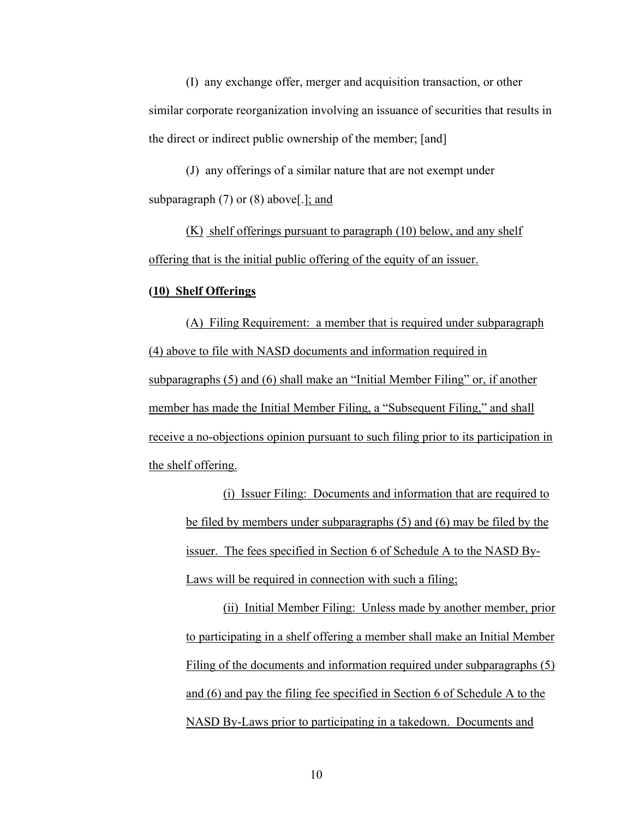(I) any exchange offer, merger and acquisition transaction, or other similar corporate reorganization involving an issuance of securities that results in the direct or indirect public ownership of the member; [and]

(J) any offerings of a similar nature that are not exempt under subparagraph (7) or (8) above[.]; and

(K) shelf offerings pursuant to paragraph (10) below, and any shelf offering that is the initial public offering of the equity of an issuer.

# **(10) Shelf Offerings**

(A) Filing Requirement: a member that is required under subparagraph (4) above to file with NASD documents and information required in subparagraphs (5) and (6) shall make an "Initial Member Filing" or, if another member has made the Initial Member Filing, a "Subsequent Filing," and shall receive a no-objections opinion pursuant to such filing prior to its participation in the shelf offering.

(i) Issuer Filing: Documents and information that are required to be filed by members under subparagraphs (5) and (6) may be filed by the issuer. The fees specified in Section 6 of Schedule A to the NASD By-Laws will be required in connection with such a filing;

(ii) Initial Member Filing: Unless made by another member, prior to participating in a shelf offering a member shall make an Initial Member Filing of the documents and information required under subparagraphs (5) and (6) and pay the filing fee specified in Section 6 of Schedule A to the NASD By-Laws prior to participating in a takedown. Documents and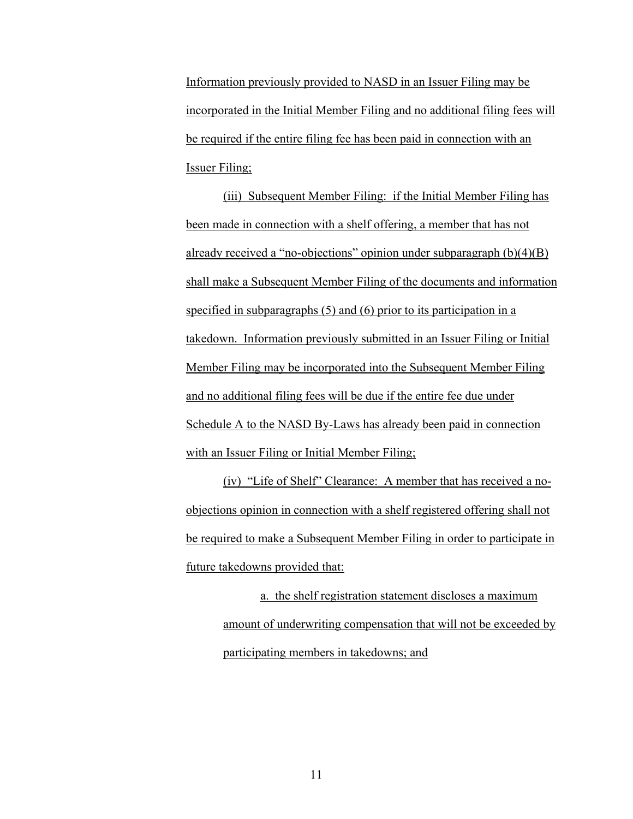Information previously provided to NASD in an Issuer Filing may be incorporated in the Initial Member Filing and no additional filing fees will be required if the entire filing fee has been paid in connection with an Issuer Filing;

(iii) Subsequent Member Filing: if the Initial Member Filing has been made in connection with a shelf offering, a member that has not already received a "no-objections" opinion under subparagraph (b)(4)(B) shall make a Subsequent Member Filing of the documents and information specified in subparagraphs (5) and (6) prior to its participation in a takedown. Information previously submitted in an Issuer Filing or Initial Member Filing may be incorporated into the Subsequent Member Filing and no additional filing fees will be due if the entire fee due under Schedule A to the NASD By-Laws has already been paid in connection with an Issuer Filing or Initial Member Filing;

(iv) "Life of Shelf" Clearance: A member that has received a noobjections opinion in connection with a shelf registered offering shall not be required to make a Subsequent Member Filing in order to participate in future takedowns provided that:

a. the shelf registration statement discloses a maximum amount of underwriting compensation that will not be exceeded by participating members in takedowns; and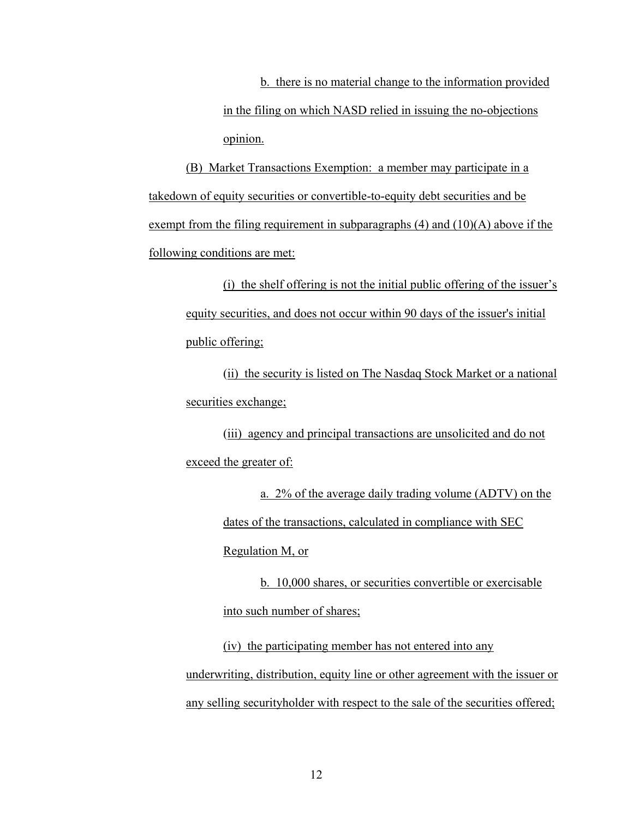b. there is no material change to the information provided in the filing on which NASD relied in issuing the no-objections opinion.

(B) Market Transactions Exemption: a member may participate in a takedown of equity securities or convertible-to-equity debt securities and be exempt from the filing requirement in subparagraphs  $(4)$  and  $(10)(A)$  above if the following conditions are met:

(i) the shelf offering is not the initial public offering of the issuer's equity securities, and does not occur within 90 days of the issuer's initial public offering;

(ii) the security is listed on The Nasdaq Stock Market or a national securities exchange;

(iii) agency and principal transactions are unsolicited and do not exceed the greater of:

> a. 2% of the average daily trading volume (ADTV) on the dates of the transactions, calculated in compliance with SEC Regulation M, or

b. 10,000 shares, or securities convertible or exercisable into such number of shares;

(iv) the participating member has not entered into any underwriting, distribution, equity line or other agreement with the issuer or any selling securityholder with respect to the sale of the securities offered;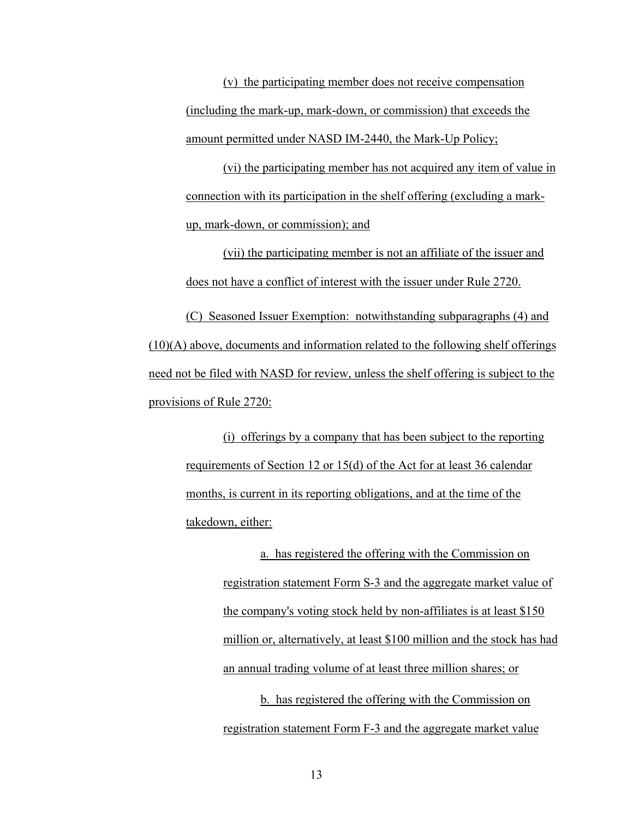(v) the participating member does not receive compensation (including the mark-up, mark-down, or commission) that exceeds the amount permitted under NASD IM-2440, the Mark-Up Policy;

(vi) the participating member has not acquired any item of value in connection with its participation in the shelf offering (excluding a markup, mark-down, or commission); and

(vii) the participating member is not an affiliate of the issuer and does not have a conflict of interest with the issuer under Rule 2720.

(C) Seasoned Issuer Exemption: notwithstanding subparagraphs (4) and  $(10)(A)$  above, documents and information related to the following shelf offerings need not be filed with NASD for review, unless the shelf offering is subject to the provisions of Rule 2720:

(i) offerings by a company that has been subject to the reporting requirements of Section 12 or 15(d) of the Act for at least 36 calendar months, is current in its reporting obligations, and at the time of the takedown, either:

> a. has registered the offering with the Commission on registration statement Form S-3 and the aggregate market value of the company's voting stock held by non-affiliates is at least \$150 million or, alternatively, at least \$100 million and the stock has had an annual trading volume of at least three million shares; or b. has registered the offering with the Commission on

registration statement Form F-3 and the aggregate market value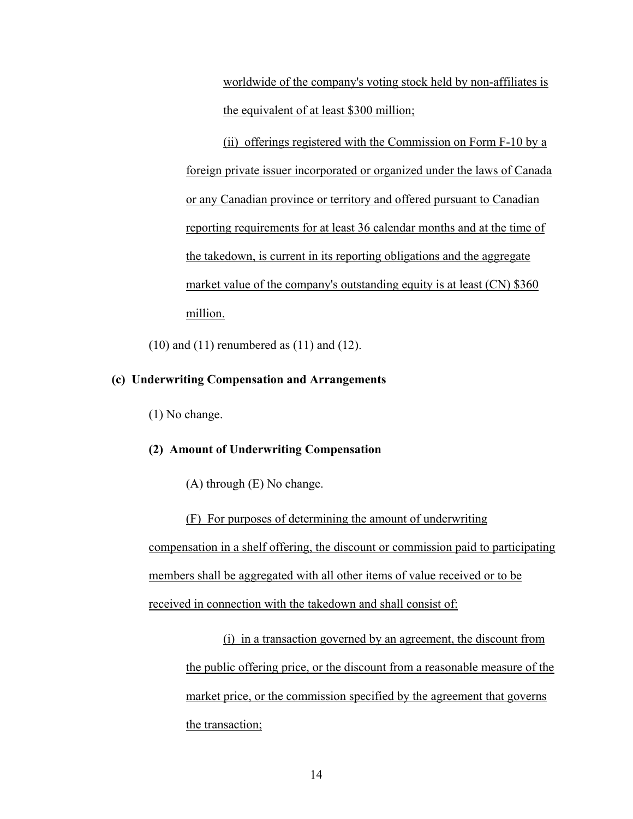worldwide of the company's voting stock held by non-affiliates is the equivalent of at least \$300 million;

(ii) offerings registered with the Commission on Form F-10 by a foreign private issuer incorporated or organized under the laws of Canada or any Canadian province or territory and offered pursuant to Canadian reporting requirements for at least 36 calendar months and at the time of the takedown, is current in its reporting obligations and the aggregate market value of the company's outstanding equity is at least (CN) \$360 million.

 $(10)$  and  $(11)$  renumbered as  $(11)$  and  $(12)$ .

# **(c) Underwriting Compensation and Arrangements**

(1) No change.

# **(2) Amount of Underwriting Compensation**

(A) through (E) No change.

(F) For purposes of determining the amount of underwriting compensation in a shelf offering, the discount or commission paid to participating members shall be aggregated with all other items of value received or to be received in connection with the takedown and shall consist of:

(i) in a transaction governed by an agreement, the discount from the public offering price, or the discount from a reasonable measure of the market price, or the commission specified by the agreement that governs the transaction;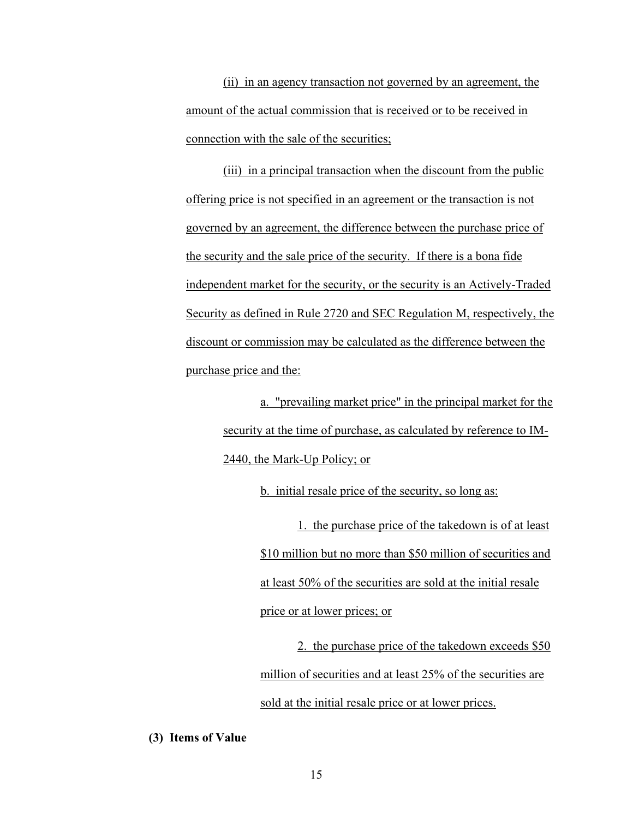(ii) in an agency transaction not governed by an agreement, the amount of the actual commission that is received or to be received in connection with the sale of the securities;

(iii) in a principal transaction when the discount from the public offering price is not specified in an agreement or the transaction is not governed by an agreement, the difference between the purchase price of the security and the sale price of the security. If there is a bona fide independent market for the security, or the security is an Actively-Traded Security as defined in Rule 2720 and SEC Regulation M, respectively, the discount or commission may be calculated as the difference between the purchase price and the:

> a. "prevailing market price" in the principal market for the security at the time of purchase, as calculated by reference to IM-2440, the Mark-Up Policy; or

> > b. initial resale price of the security, so long as:

1. the purchase price of the takedown is of at least \$10 million but no more than \$50 million of securities and at least 50% of the securities are sold at the initial resale price or at lower prices; or

2. the purchase price of the takedown exceeds \$50 million of securities and at least 25% of the securities are sold at the initial resale price or at lower prices.

#### **(3) Items of Value**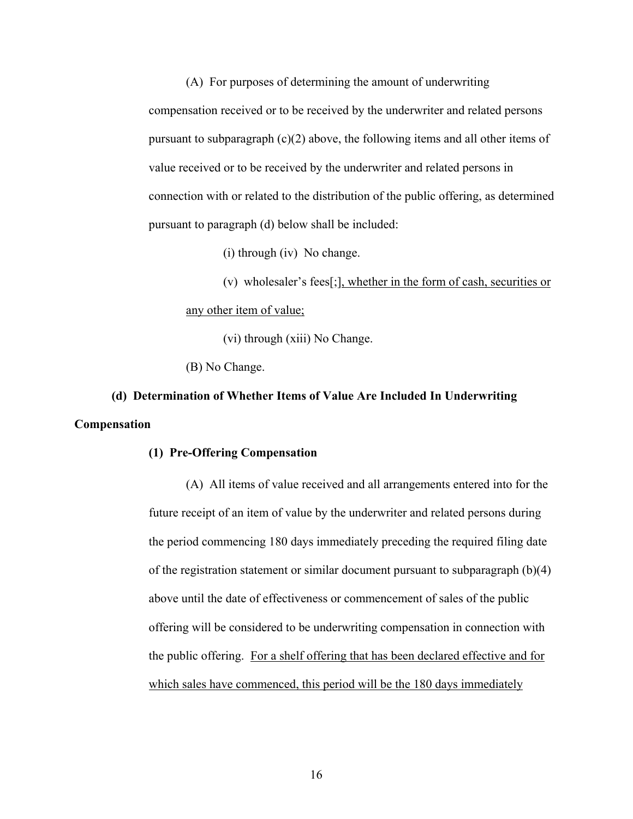(A) For purposes of determining the amount of underwriting compensation received or to be received by the underwriter and related persons pursuant to subparagraph (c)(2) above, the following items and all other items of value received or to be received by the underwriter and related persons in connection with or related to the distribution of the public offering, as determined pursuant to paragraph (d) below shall be included:

(i) through (iv) No change.

(v) wholesaler's fees[;], whether in the form of cash, securities or any other item of value;

(vi) through (xiii) No Change.

(B) No Change.

# **(d) Determination of Whether Items of Value Are Included In Underwriting Compensation**

# **(1) Pre-Offering Compensation**

(A) All items of value received and all arrangements entered into for the future receipt of an item of value by the underwriter and related persons during the period commencing 180 days immediately preceding the required filing date of the registration statement or similar document pursuant to subparagraph (b)(4) above until the date of effectiveness or commencement of sales of the public offering will be considered to be underwriting compensation in connection with the public offering. For a shelf offering that has been declared effective and for which sales have commenced, this period will be the 180 days immediately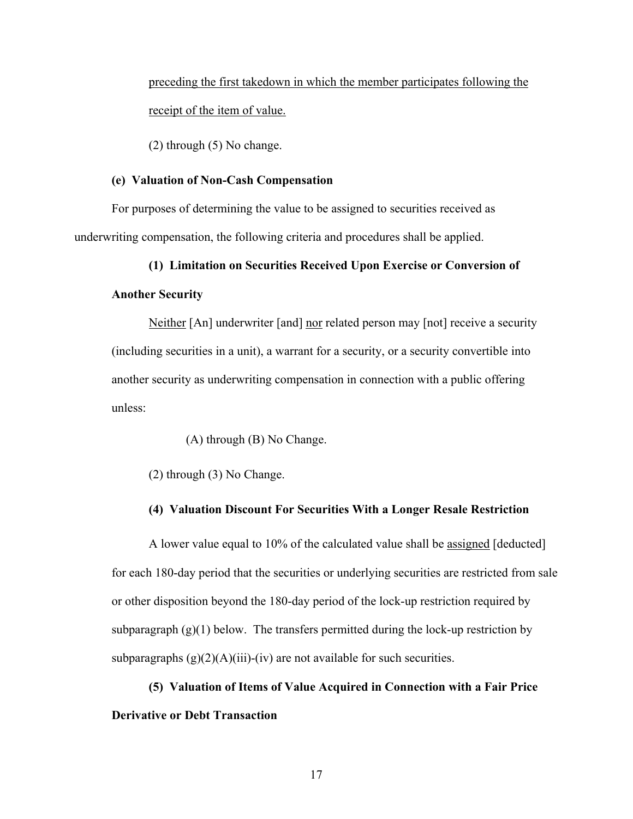preceding the first takedown in which the member participates following the receipt of the item of value.

(2) through (5) No change.

# **(e) Valuation of Non-Cash Compensation**

For purposes of determining the value to be assigned to securities received as underwriting compensation, the following criteria and procedures shall be applied.

#### **(1) Limitation on Securities Received Upon Exercise or Conversion of**

## **Another Security**

Neither [An] underwriter [and] nor related person may [not] receive a security (including securities in a unit), a warrant for a security, or a security convertible into another security as underwriting compensation in connection with a public offering unless:

(A) through (B) No Change.

(2) through (3) No Change.

## **(4) Valuation Discount For Securities With a Longer Resale Restriction**

A lower value equal to 10% of the calculated value shall be assigned [deducted] for each 180-day period that the securities or underlying securities are restricted from sale or other disposition beyond the 180-day period of the lock-up restriction required by subparagraph  $(g)(1)$  below. The transfers permitted during the lock-up restriction by subparagraphs  $(g)(2)(A)(iii)$ -(iv) are not available for such securities.

**(5) Valuation of Items of Value Acquired in Connection with a Fair Price Derivative or Debt Transaction**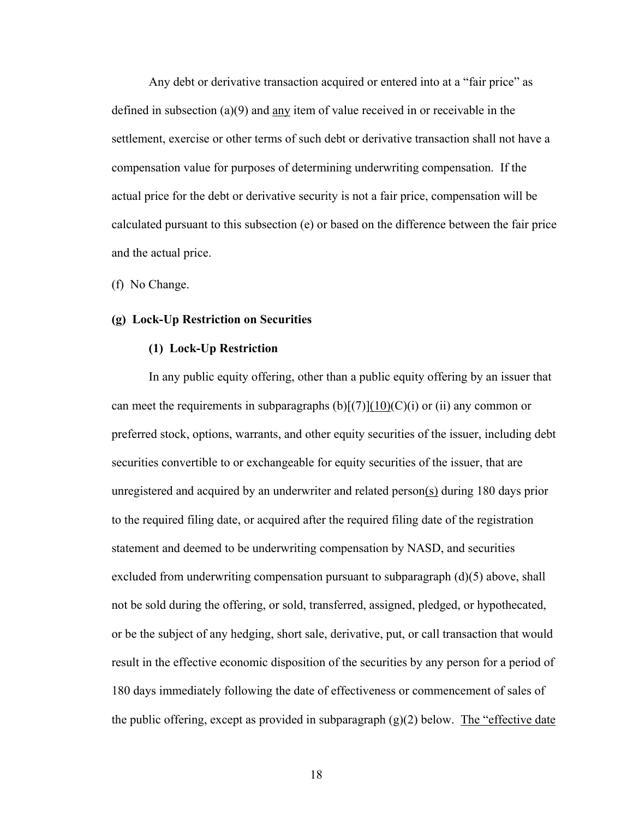Any debt or derivative transaction acquired or entered into at a "fair price" as defined in subsection (a)(9) and any item of value received in or receivable in the settlement, exercise or other terms of such debt or derivative transaction shall not have a compensation value for purposes of determining underwriting compensation. If the actual price for the debt or derivative security is not a fair price, compensation will be calculated pursuant to this subsection (e) or based on the difference between the fair price and the actual price.

(f) No Change.

## **(g) Lock-Up Restriction on Securities**

## **(1) Lock-Up Restriction**

In any public equity offering, other than a public equity offering by an issuer that can meet the requirements in subparagraphs  $(b)[(7)](10)(C)(i)$  or (ii) any common or preferred stock, options, warrants, and other equity securities of the issuer, including debt securities convertible to or exchangeable for equity securities of the issuer, that are unregistered and acquired by an underwriter and related person(s) during 180 days prior to the required filing date, or acquired after the required filing date of the registration statement and deemed to be underwriting compensation by NASD, and securities excluded from underwriting compensation pursuant to subparagraph  $(d)(5)$  above, shall not be sold during the offering, or sold, transferred, assigned, pledged, or hypothecated, or be the subject of any hedging, short sale, derivative, put, or call transaction that would result in the effective economic disposition of the securities by any person for a period of 180 days immediately following the date of effectiveness or commencement of sales of the public offering, except as provided in subparagraph  $(g)(2)$  below. The "effective date"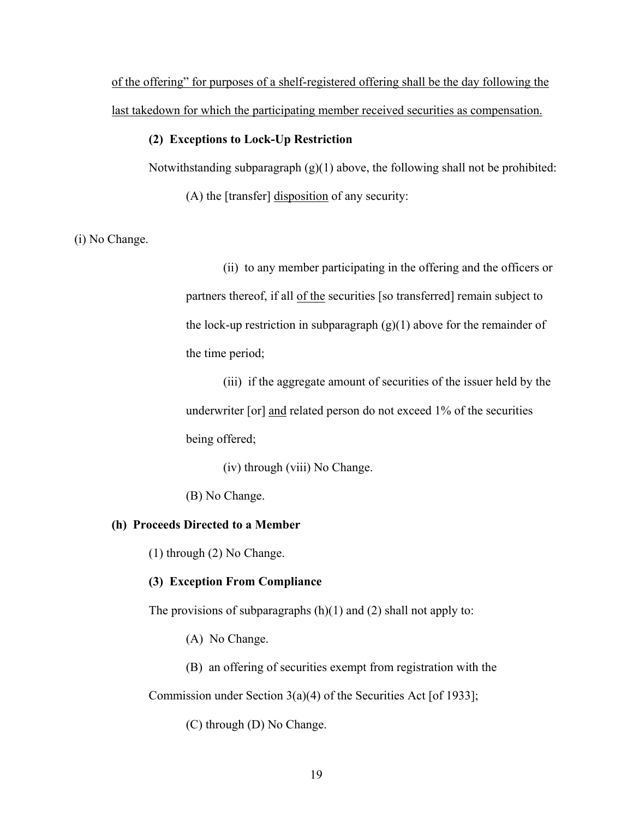of the offering" for purposes of a shelf-registered offering shall be the day following the last takedown for which the participating member received securities as compensation.

# **(2) Exceptions to Lock-Up Restriction**

Notwithstanding subparagraph  $(g)(1)$  above, the following shall not be prohibited:

(A) the [transfer] disposition of any security:

(i) No Change.

(ii) to any member participating in the offering and the officers or partners thereof, if all of the securities [so transferred] remain subject to the lock-up restriction in subparagraph  $(g)(1)$  above for the remainder of the time period;

(iii) if the aggregate amount of securities of the issuer held by the underwriter [or] and related person do not exceed 1% of the securities being offered;

(iv) through (viii) No Change.

(B) No Change.

# **(h) Proceeds Directed to a Member**

(1) through (2) No Change.

# **(3) Exception From Compliance**

The provisions of subparagraphs  $(h)(1)$  and  $(2)$  shall not apply to:

(A) No Change.

(B) an offering of securities exempt from registration with the Commission under Section 3(a)(4) of the Securities Act [of 1933];

(C) through (D) No Change.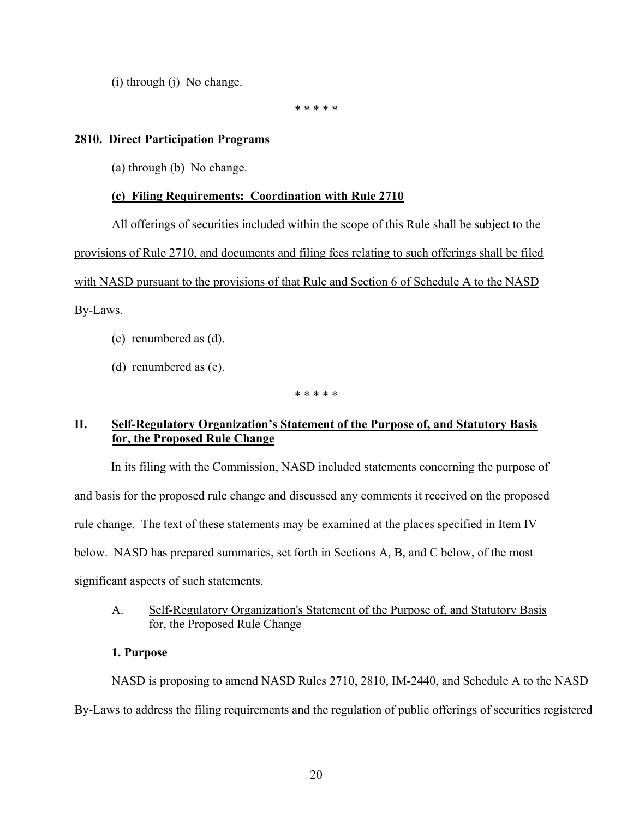(i) through (j) No change.

\* \* \* \* \*

# **2810. Direct Participation Programs**

(a) through (b) No change.

# **(c) Filing Requirements: Coordination with Rule 2710**

All offerings of securities included within the scope of this Rule shall be subject to the provisions of Rule 2710, and documents and filing fees relating to such offerings shall be filed with NASD pursuant to the provisions of that Rule and Section 6 of Schedule A to the NASD By-Laws.

- (c) renumbered as (d).
- (d) renumbered as (e).

\* \* \* \* \*

# **II. Self-Regulatory Organization's Statement of the Purpose of, and Statutory Basis for, the Proposed Rule Change**

In its filing with the Commission, NASD included statements concerning the purpose of and basis for the proposed rule change and discussed any comments it received on the proposed rule change. The text of these statements may be examined at the places specified in Item IV below. NASD has prepared summaries, set forth in Sections A, B, and C below, of the most significant aspects of such statements.

# A. Self-Regulatory Organization's Statement of the Purpose of, and Statutory Basis for, the Proposed Rule Change

# **1. Purpose**

 NASD is proposing to amend NASD Rules 2710, 2810, IM-2440, and Schedule A to the NASD By-Laws to address the filing requirements and the regulation of public offerings of securities registered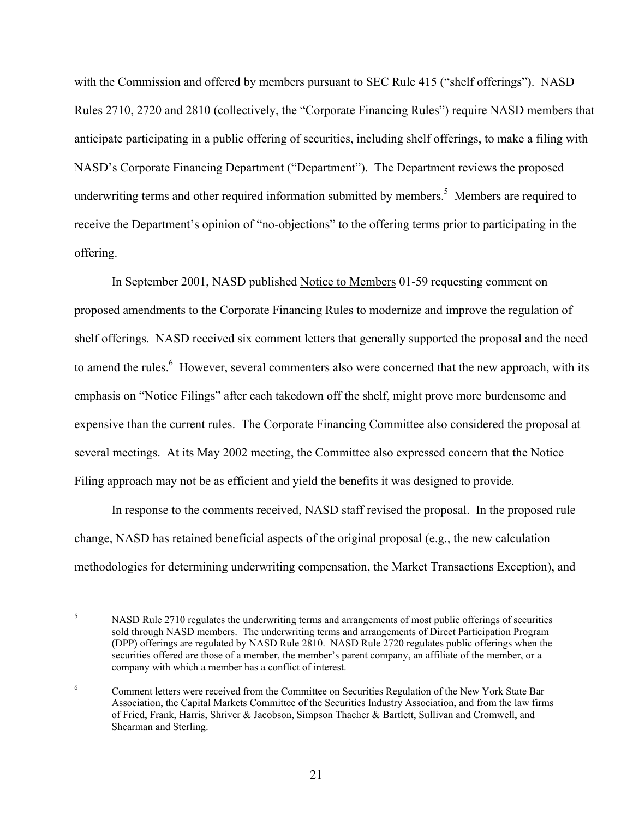with the Commission and offered by members pursuant to SEC Rule 415 ("shelf offerings"). NASD Rules 2710, 2720 and 2810 (collectively, the "Corporate Financing Rules") require NASD members that anticipate participating in a public offering of securities, including shelf offerings, to make a filing with NASD's Corporate Financing Department ("Department"). The Department reviews the proposed underwriting terms and other required information submitted by members.<sup>5</sup> Members are required to receive the Department's opinion of "no-objections" to the offering terms prior to participating in the offering.

 In September 2001, NASD published Notice to Members 01-59 requesting comment on proposed amendments to the Corporate Financing Rules to modernize and improve the regulation of shelf offerings. NASD received six comment letters that generally supported the proposal and the need to amend the rules.<sup>6</sup> However, several commenters also were concerned that the new approach, with its emphasis on "Notice Filings" after each takedown off the shelf, might prove more burdensome and expensive than the current rules. The Corporate Financing Committee also considered the proposal at several meetings. At its May 2002 meeting, the Committee also expressed concern that the Notice Filing approach may not be as efficient and yield the benefits it was designed to provide.

 In response to the comments received, NASD staff revised the proposal. In the proposed rule change, NASD has retained beneficial aspects of the original proposal (e.g., the new calculation methodologies for determining underwriting compensation, the Market Transactions Exception), and

<sup>5</sup> NASD Rule 2710 regulates the underwriting terms and arrangements of most public offerings of securities sold through NASD members. The underwriting terms and arrangements of Direct Participation Program (DPP) offerings are regulated by NASD Rule 2810. NASD Rule 2720 regulates public offerings when the securities offered are those of a member, the member's parent company, an affiliate of the member, or a company with which a member has a conflict of interest.

<sup>6</sup> Comment letters were received from the Committee on Securities Regulation of the New York State Bar Association, the Capital Markets Committee of the Securities Industry Association, and from the law firms of Fried, Frank, Harris, Shriver & Jacobson, Simpson Thacher & Bartlett, Sullivan and Cromwell, and Shearman and Sterling.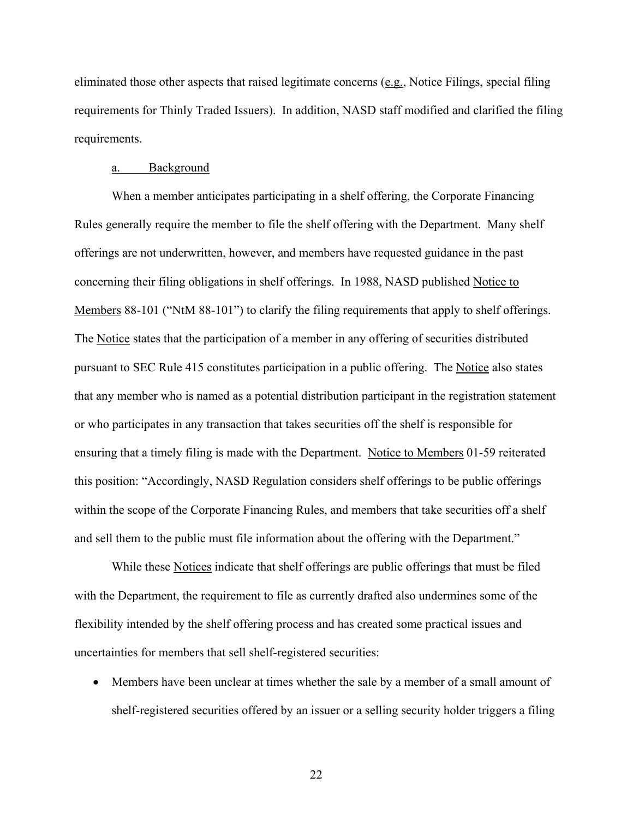eliminated those other aspects that raised legitimate concerns (e.g., Notice Filings, special filing requirements for Thinly Traded Issuers). In addition, NASD staff modified and clarified the filing requirements.

#### a. Background

When a member anticipates participating in a shelf offering, the Corporate Financing Rules generally require the member to file the shelf offering with the Department. Many shelf offerings are not underwritten, however, and members have requested guidance in the past concerning their filing obligations in shelf offerings. In 1988, NASD published Notice to Members 88-101 ("NtM 88-101") to clarify the filing requirements that apply to shelf offerings. The Notice states that the participation of a member in any offering of securities distributed pursuant to SEC Rule 415 constitutes participation in a public offering. The Notice also states that any member who is named as a potential distribution participant in the registration statement or who participates in any transaction that takes securities off the shelf is responsible for ensuring that a timely filing is made with the Department. Notice to Members 01-59 reiterated this position: "Accordingly, NASD Regulation considers shelf offerings to be public offerings within the scope of the Corporate Financing Rules, and members that take securities off a shelf and sell them to the public must file information about the offering with the Department."

While these Notices indicate that shelf offerings are public offerings that must be filed with the Department, the requirement to file as currently drafted also undermines some of the flexibility intended by the shelf offering process and has created some practical issues and uncertainties for members that sell shelf-registered securities:

• Members have been unclear at times whether the sale by a member of a small amount of shelf-registered securities offered by an issuer or a selling security holder triggers a filing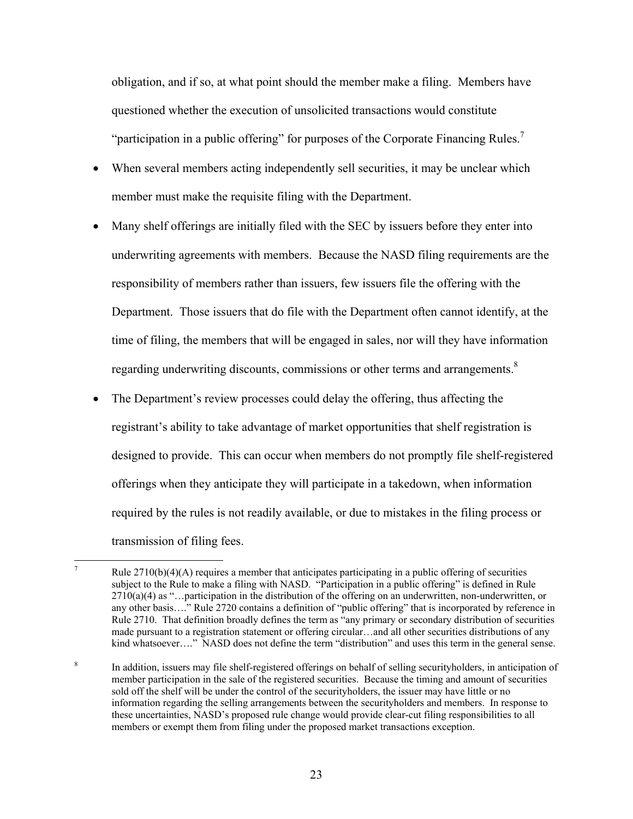obligation, and if so, at what point should the member make a filing. Members have questioned whether the execution of unsolicited transactions would constitute "participation in a public offering" for purposes of the Corporate Financing Rules.<sup>7</sup>

- When several members acting independently sell securities, it may be unclear which member must make the requisite filing with the Department.
- Many shelf offerings are initially filed with the SEC by issuers before they enter into underwriting agreements with members. Because the NASD filing requirements are the responsibility of members rather than issuers, few issuers file the offering with the Department. Those issuers that do file with the Department often cannot identify, at the time of filing, the members that will be engaged in sales, nor will they have information regarding underwriting discounts, commissions or other terms and arrangements.<sup>8</sup>
- The Department's review processes could delay the offering, thus affecting the registrant's ability to take advantage of market opportunities that shelf registration is designed to provide. This can occur when members do not promptly file shelf-registered offerings when they anticipate they will participate in a takedown, when information required by the rules is not readily available, or due to mistakes in the filing process or transmission of filing fees.

 $\frac{1}{7}$ Rule  $2710(b)(4)(A)$  requires a member that anticipates participating in a public offering of securities subject to the Rule to make a filing with NASD. "Participation in a public offering" is defined in Rule  $2710(a)(4)$  as "...participation in the distribution of the offering on an underwritten, non-underwritten, or any other basis…." Rule 2720 contains a definition of "public offering" that is incorporated by reference in Rule 2710. That definition broadly defines the term as "any primary or secondary distribution of securities made pursuant to a registration statement or offering circular…and all other securities distributions of any kind whatsoever...." NASD does not define the term "distribution" and uses this term in the general sense.

<sup>8</sup> In addition, issuers may file shelf-registered offerings on behalf of selling securityholders, in anticipation of member participation in the sale of the registered securities. Because the timing and amount of securities sold off the shelf will be under the control of the securityholders, the issuer may have little or no information regarding the selling arrangements between the securityholders and members. In response to these uncertainties, NASD's proposed rule change would provide clear-cut filing responsibilities to all members or exempt them from filing under the proposed market transactions exception.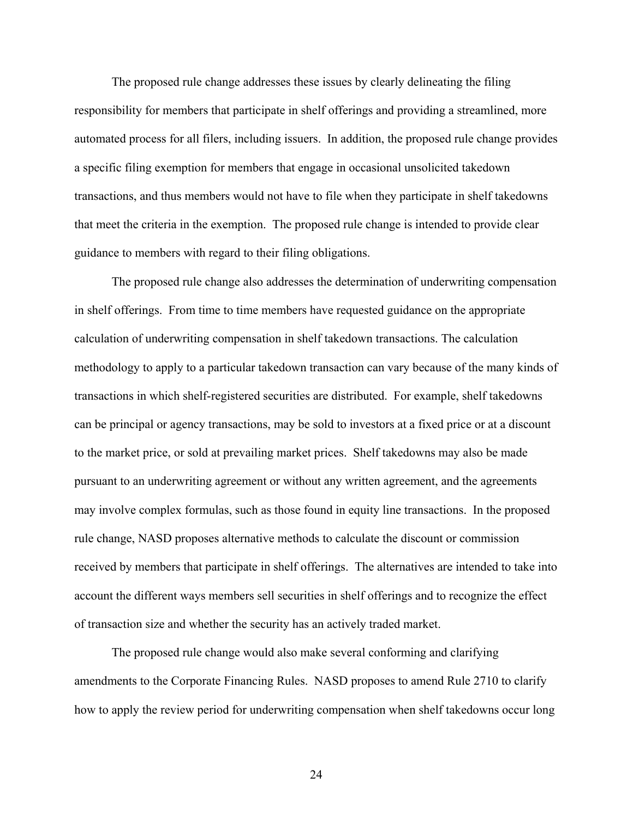The proposed rule change addresses these issues by clearly delineating the filing responsibility for members that participate in shelf offerings and providing a streamlined, more automated process for all filers, including issuers. In addition, the proposed rule change provides a specific filing exemption for members that engage in occasional unsolicited takedown transactions, and thus members would not have to file when they participate in shelf takedowns that meet the criteria in the exemption. The proposed rule change is intended to provide clear guidance to members with regard to their filing obligations.

The proposed rule change also addresses the determination of underwriting compensation in shelf offerings. From time to time members have requested guidance on the appropriate calculation of underwriting compensation in shelf takedown transactions. The calculation methodology to apply to a particular takedown transaction can vary because of the many kinds of transactions in which shelf-registered securities are distributed. For example, shelf takedowns can be principal or agency transactions, may be sold to investors at a fixed price or at a discount to the market price, or sold at prevailing market prices. Shelf takedowns may also be made pursuant to an underwriting agreement or without any written agreement, and the agreements may involve complex formulas, such as those found in equity line transactions. In the proposed rule change, NASD proposes alternative methods to calculate the discount or commission received by members that participate in shelf offerings. The alternatives are intended to take into account the different ways members sell securities in shelf offerings and to recognize the effect of transaction size and whether the security has an actively traded market.

The proposed rule change would also make several conforming and clarifying amendments to the Corporate Financing Rules. NASD proposes to amend Rule 2710 to clarify how to apply the review period for underwriting compensation when shelf takedowns occur long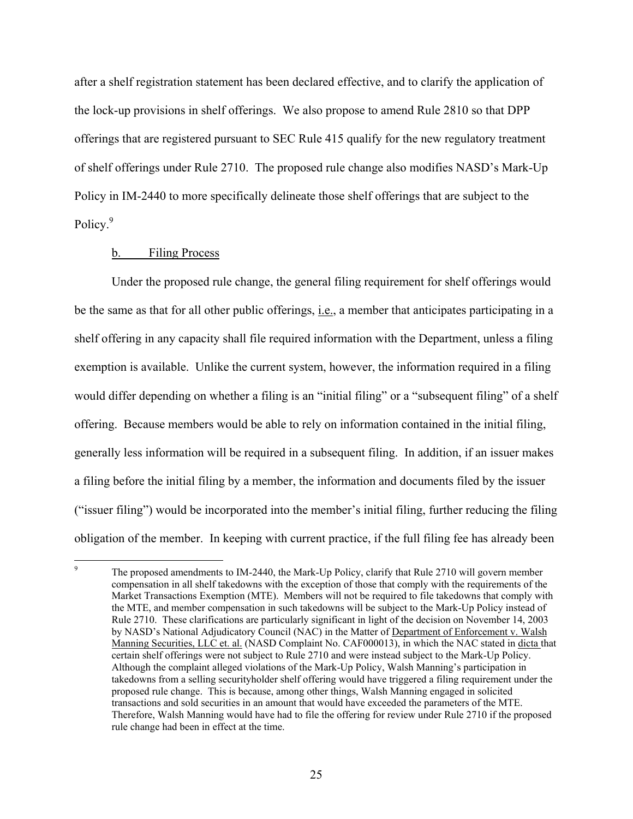after a shelf registration statement has been declared effective, and to clarify the application of the lock-up provisions in shelf offerings. We also propose to amend Rule 2810 so that DPP offerings that are registered pursuant to SEC Rule 415 qualify for the new regulatory treatment of shelf offerings under Rule 2710. The proposed rule change also modifies NASD's Mark-Up Policy in IM-2440 to more specifically delineate those shelf offerings that are subject to the Policy.<sup>9</sup>

#### b. Filing Process

Under the proposed rule change, the general filing requirement for shelf offerings would be the same as that for all other public offerings, i.e., a member that anticipates participating in a shelf offering in any capacity shall file required information with the Department, unless a filing exemption is available. Unlike the current system, however, the information required in a filing would differ depending on whether a filing is an "initial filing" or a "subsequent filing" of a shelf offering. Because members would be able to rely on information contained in the initial filing, generally less information will be required in a subsequent filing. In addition, if an issuer makes a filing before the initial filing by a member, the information and documents filed by the issuer ("issuer filing") would be incorporated into the member's initial filing, further reducing the filing obligation of the member. In keeping with current practice, if the full filing fee has already been

<sup>-&</sup>lt;br>9 The proposed amendments to IM-2440, the Mark-Up Policy, clarify that Rule 2710 will govern member compensation in all shelf takedowns with the exception of those that comply with the requirements of the Market Transactions Exemption (MTE). Members will not be required to file takedowns that comply with the MTE, and member compensation in such takedowns will be subject to the Mark-Up Policy instead of Rule 2710. These clarifications are particularly significant in light of the decision on November 14, 2003 by NASD's National Adjudicatory Council (NAC) in the Matter of Department of Enforcement v. Walsh Manning Securities, LLC et. al. (NASD Complaint No. CAF000013), in which the NAC stated in dicta that certain shelf offerings were not subject to Rule 2710 and were instead subject to the Mark-Up Policy. Although the complaint alleged violations of the Mark-Up Policy, Walsh Manning's participation in takedowns from a selling securityholder shelf offering would have triggered a filing requirement under the proposed rule change. This is because, among other things, Walsh Manning engaged in solicited transactions and sold securities in an amount that would have exceeded the parameters of the MTE. Therefore, Walsh Manning would have had to file the offering for review under Rule 2710 if the proposed rule change had been in effect at the time.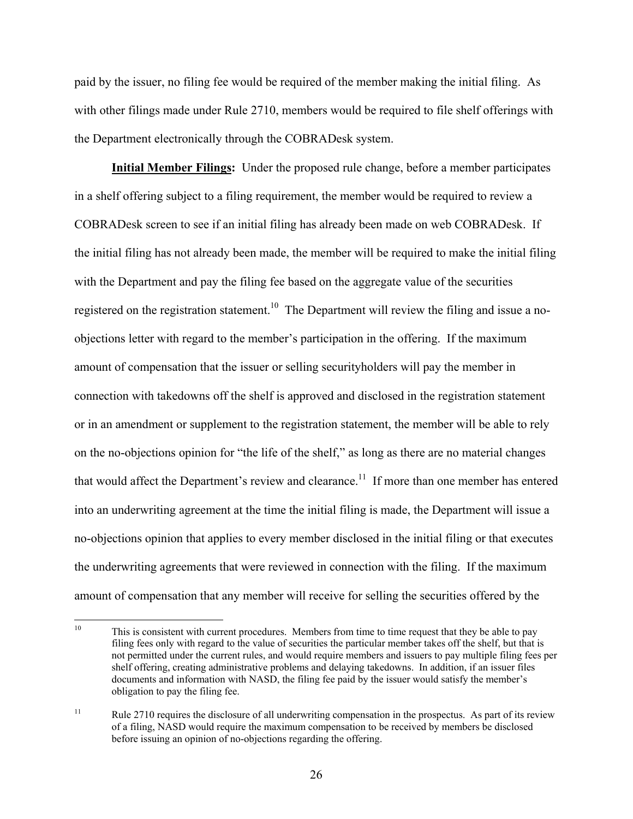paid by the issuer, no filing fee would be required of the member making the initial filing. As with other filings made under Rule 2710, members would be required to file shelf offerings with the Department electronically through the COBRADesk system.

**Initial Member Filings:** Under the proposed rule change, before a member participates in a shelf offering subject to a filing requirement, the member would be required to review a COBRADesk screen to see if an initial filing has already been made on web COBRADesk. If the initial filing has not already been made, the member will be required to make the initial filing with the Department and pay the filing fee based on the aggregate value of the securities registered on the registration statement.<sup>10</sup> The Department will review the filing and issue a noobjections letter with regard to the member's participation in the offering. If the maximum amount of compensation that the issuer or selling securityholders will pay the member in connection with takedowns off the shelf is approved and disclosed in the registration statement or in an amendment or supplement to the registration statement, the member will be able to rely on the no-objections opinion for "the life of the shelf," as long as there are no material changes that would affect the Department's review and clearance.<sup>11</sup> If more than one member has entered into an underwriting agreement at the time the initial filing is made, the Department will issue a no-objections opinion that applies to every member disclosed in the initial filing or that executes the underwriting agreements that were reviewed in connection with the filing. If the maximum amount of compensation that any member will receive for selling the securities offered by the

 $10\,$ This is consistent with current procedures. Members from time to time request that they be able to pay filing fees only with regard to the value of securities the particular member takes off the shelf, but that is not permitted under the current rules, and would require members and issuers to pay multiple filing fees per shelf offering, creating administrative problems and delaying takedowns. In addition, if an issuer files documents and information with NASD, the filing fee paid by the issuer would satisfy the member's obligation to pay the filing fee.

<sup>&</sup>lt;sup>11</sup> Rule 2710 requires the disclosure of all underwriting compensation in the prospectus. As part of its review of a filing, NASD would require the maximum compensation to be received by members be disclosed before issuing an opinion of no-objections regarding the offering.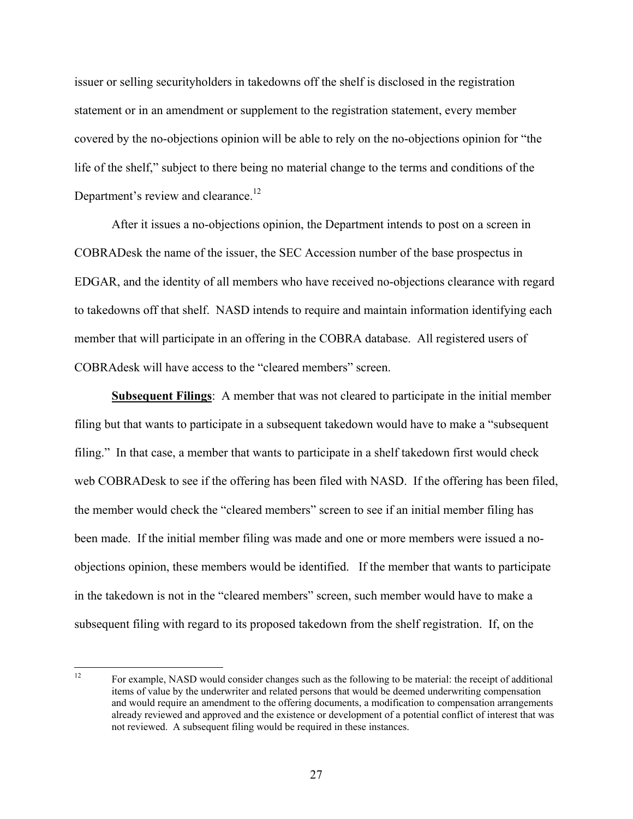issuer or selling securityholders in takedowns off the shelf is disclosed in the registration statement or in an amendment or supplement to the registration statement, every member covered by the no-objections opinion will be able to rely on the no-objections opinion for "the life of the shelf," subject to there being no material change to the terms and conditions of the Department's review and clearance.<sup>12</sup>

After it issues a no-objections opinion, the Department intends to post on a screen in COBRADesk the name of the issuer, the SEC Accession number of the base prospectus in EDGAR, and the identity of all members who have received no-objections clearance with regard to takedowns off that shelf. NASD intends to require and maintain information identifying each member that will participate in an offering in the COBRA database. All registered users of COBRAdesk will have access to the "cleared members" screen.

**Subsequent Filings**: A member that was not cleared to participate in the initial member filing but that wants to participate in a subsequent takedown would have to make a "subsequent filing." In that case, a member that wants to participate in a shelf takedown first would check web COBRADesk to see if the offering has been filed with NASD. If the offering has been filed, the member would check the "cleared members" screen to see if an initial member filing has been made. If the initial member filing was made and one or more members were issued a noobjections opinion, these members would be identified. If the member that wants to participate in the takedown is not in the "cleared members" screen, such member would have to make a subsequent filing with regard to its proposed takedown from the shelf registration. If, on the

 $12$ 12 For example, NASD would consider changes such as the following to be material: the receipt of additional items of value by the underwriter and related persons that would be deemed underwriting compensation and would require an amendment to the offering documents, a modification to compensation arrangements already reviewed and approved and the existence or development of a potential conflict of interest that was not reviewed. A subsequent filing would be required in these instances.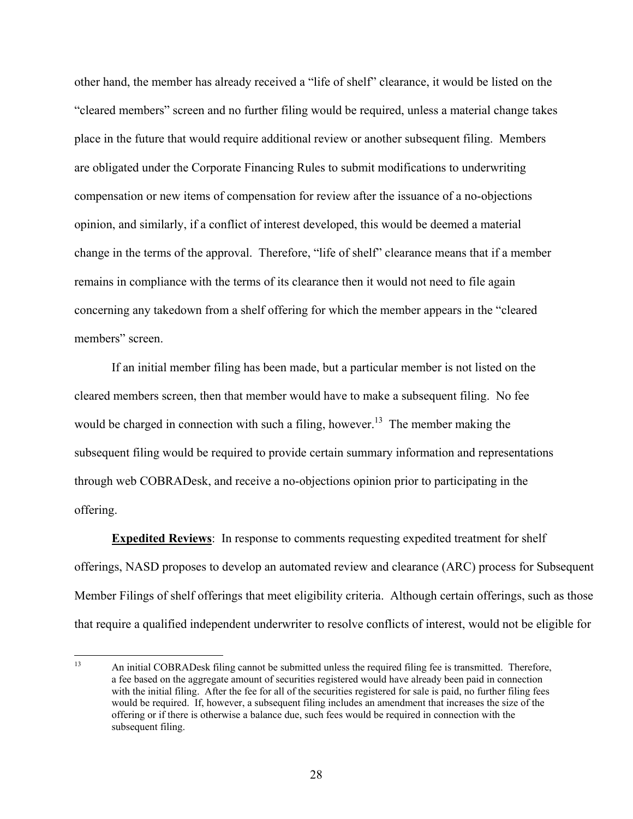other hand, the member has already received a "life of shelf" clearance, it would be listed on the "cleared members" screen and no further filing would be required, unless a material change takes place in the future that would require additional review or another subsequent filing. Members are obligated under the Corporate Financing Rules to submit modifications to underwriting compensation or new items of compensation for review after the issuance of a no-objections opinion, and similarly, if a conflict of interest developed, this would be deemed a material change in the terms of the approval. Therefore, "life of shelf" clearance means that if a member remains in compliance with the terms of its clearance then it would not need to file again concerning any takedown from a shelf offering for which the member appears in the "cleared members" screen.

If an initial member filing has been made, but a particular member is not listed on the cleared members screen, then that member would have to make a subsequent filing. No fee would be charged in connection with such a filing, however.<sup>13</sup> The member making the subsequent filing would be required to provide certain summary information and representations through web COBRADesk, and receive a no-objections opinion prior to participating in the offering.

 **Expedited Reviews**: In response to comments requesting expedited treatment for shelf offerings, NASD proposes to develop an automated review and clearance (ARC) process for Subsequent Member Filings of shelf offerings that meet eligibility criteria. Although certain offerings, such as those that require a qualified independent underwriter to resolve conflicts of interest, would not be eligible for

 $13$ 13 An initial COBRADesk filing cannot be submitted unless the required filing fee is transmitted. Therefore, a fee based on the aggregate amount of securities registered would have already been paid in connection with the initial filing. After the fee for all of the securities registered for sale is paid, no further filing fees would be required. If, however, a subsequent filing includes an amendment that increases the size of the offering or if there is otherwise a balance due, such fees would be required in connection with the subsequent filing.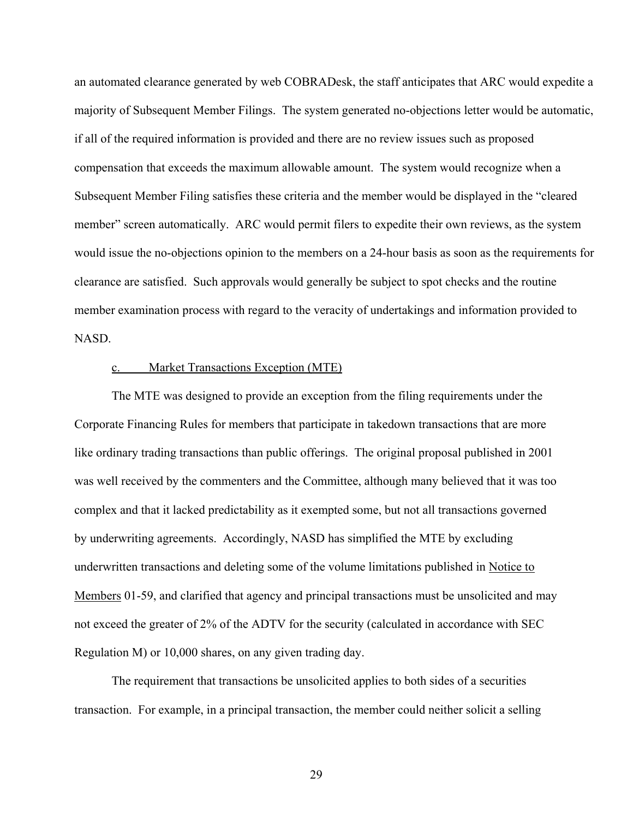an automated clearance generated by web COBRADesk, the staff anticipates that ARC would expedite a majority of Subsequent Member Filings. The system generated no-objections letter would be automatic, if all of the required information is provided and there are no review issues such as proposed compensation that exceeds the maximum allowable amount. The system would recognize when a Subsequent Member Filing satisfies these criteria and the member would be displayed in the "cleared member" screen automatically. ARC would permit filers to expedite their own reviews, as the system would issue the no-objections opinion to the members on a 24-hour basis as soon as the requirements for clearance are satisfied. Such approvals would generally be subject to spot checks and the routine member examination process with regard to the veracity of undertakings and information provided to NASD.

#### c. Market Transactions Exception (MTE)

The MTE was designed to provide an exception from the filing requirements under the Corporate Financing Rules for members that participate in takedown transactions that are more like ordinary trading transactions than public offerings. The original proposal published in 2001 was well received by the commenters and the Committee, although many believed that it was too complex and that it lacked predictability as it exempted some, but not all transactions governed by underwriting agreements. Accordingly, NASD has simplified the MTE by excluding underwritten transactions and deleting some of the volume limitations published in Notice to Members 01-59, and clarified that agency and principal transactions must be unsolicited and may not exceed the greater of 2% of the ADTV for the security (calculated in accordance with SEC Regulation M) or 10,000 shares, on any given trading day.

The requirement that transactions be unsolicited applies to both sides of a securities transaction. For example, in a principal transaction, the member could neither solicit a selling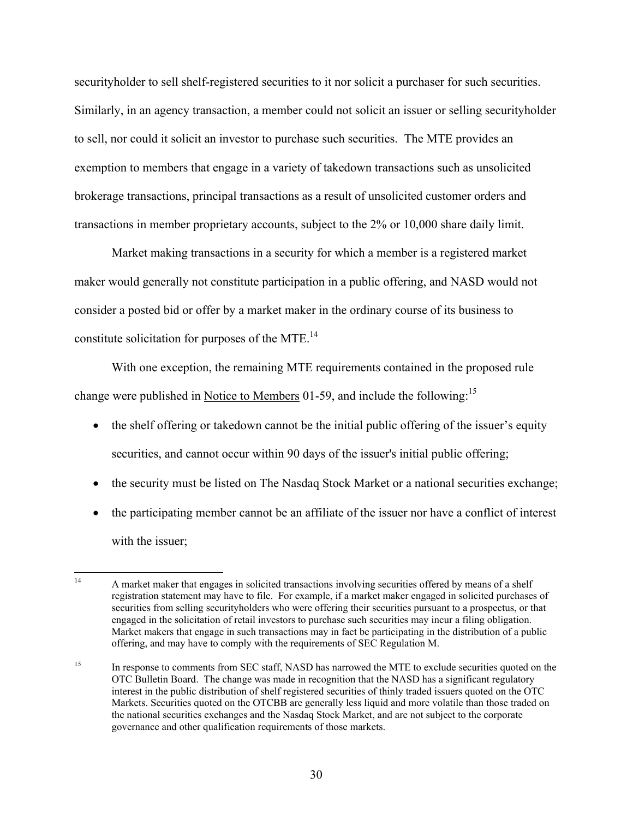securityholder to sell shelf-registered securities to it nor solicit a purchaser for such securities. Similarly, in an agency transaction, a member could not solicit an issuer or selling securityholder to sell, nor could it solicit an investor to purchase such securities. The MTE provides an exemption to members that engage in a variety of takedown transactions such as unsolicited brokerage transactions, principal transactions as a result of unsolicited customer orders and transactions in member proprietary accounts, subject to the 2% or 10,000 share daily limit.

Market making transactions in a security for which a member is a registered market maker would generally not constitute participation in a public offering, and NASD would not consider a posted bid or offer by a market maker in the ordinary course of its business to constitute solicitation for purposes of the MTE. $^{14}$ 

With one exception, the remaining MTE requirements contained in the proposed rule change were published in Notice to Members 01-59, and include the following:<sup>15</sup>

- the shelf offering or takedown cannot be the initial public offering of the issuer's equity securities, and cannot occur within 90 days of the issuer's initial public offering;
- the security must be listed on The Nasdaq Stock Market or a national securities exchange;
- the participating member cannot be an affiliate of the issuer nor have a conflict of interest with the issuer;

 $14$ 14 A market maker that engages in solicited transactions involving securities offered by means of a shelf registration statement may have to file. For example, if a market maker engaged in solicited purchases of securities from selling securityholders who were offering their securities pursuant to a prospectus, or that engaged in the solicitation of retail investors to purchase such securities may incur a filing obligation. Market makers that engage in such transactions may in fact be participating in the distribution of a public offering, and may have to comply with the requirements of SEC Regulation M.

<sup>&</sup>lt;sup>15</sup> In response to comments from SEC staff, NASD has narrowed the MTE to exclude securities quoted on the OTC Bulletin Board. The change was made in recognition that the NASD has a significant regulatory interest in the public distribution of shelf registered securities of thinly traded issuers quoted on the OTC Markets. Securities quoted on the OTCBB are generally less liquid and more volatile than those traded on the national securities exchanges and the Nasdaq Stock Market, and are not subject to the corporate governance and other qualification requirements of those markets.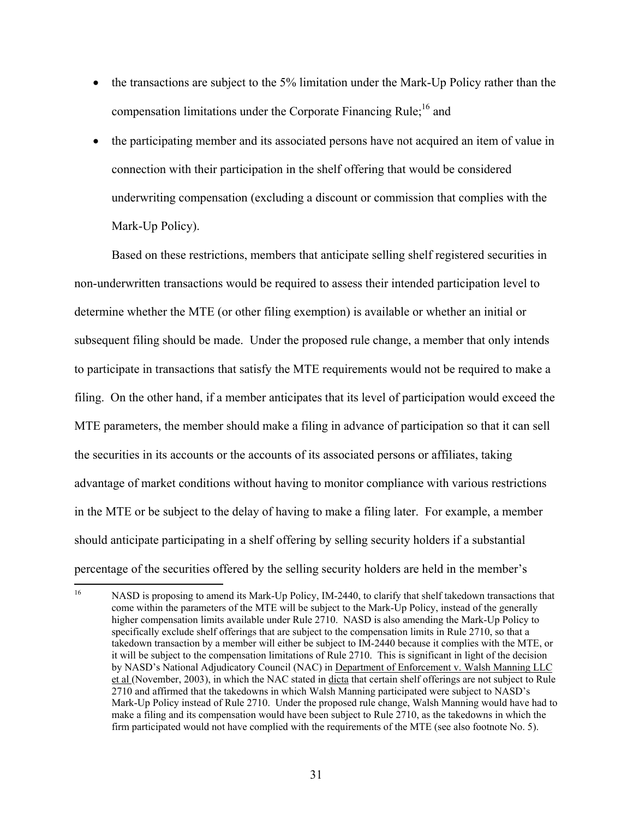- the transactions are subject to the 5% limitation under the Mark-Up Policy rather than the compensation limitations under the Corporate Financing Rule;<sup>16</sup> and
- the participating member and its associated persons have not acquired an item of value in connection with their participation in the shelf offering that would be considered underwriting compensation (excluding a discount or commission that complies with the Mark-Up Policy).

Based on these restrictions, members that anticipate selling shelf registered securities in non-underwritten transactions would be required to assess their intended participation level to determine whether the MTE (or other filing exemption) is available or whether an initial or subsequent filing should be made. Under the proposed rule change, a member that only intends to participate in transactions that satisfy the MTE requirements would not be required to make a filing. On the other hand, if a member anticipates that its level of participation would exceed the MTE parameters, the member should make a filing in advance of participation so that it can sell the securities in its accounts or the accounts of its associated persons or affiliates, taking advantage of market conditions without having to monitor compliance with various restrictions in the MTE or be subject to the delay of having to make a filing later. For example, a member should anticipate participating in a shelf offering by selling security holders if a substantial percentage of the securities offered by the selling security holders are held in the member's

<sup>16</sup> 16 NASD is proposing to amend its Mark-Up Policy, IM-2440, to clarify that shelf takedown transactions that come within the parameters of the MTE will be subject to the Mark-Up Policy, instead of the generally higher compensation limits available under Rule 2710. NASD is also amending the Mark-Up Policy to specifically exclude shelf offerings that are subject to the compensation limits in Rule 2710, so that a takedown transaction by a member will either be subject to IM-2440 because it complies with the MTE, or it will be subject to the compensation limitations of Rule 2710. This is significant in light of the decision by NASD's National Adjudicatory Council (NAC) in Department of Enforcement v. Walsh Manning LLC et al (November, 2003), in which the NAC stated in dicta that certain shelf offerings are not subject to Rule 2710 and affirmed that the takedowns in which Walsh Manning participated were subject to NASD's Mark-Up Policy instead of Rule 2710. Under the proposed rule change, Walsh Manning would have had to make a filing and its compensation would have been subject to Rule 2710, as the takedowns in which the firm participated would not have complied with the requirements of the MTE (see also footnote No. 5).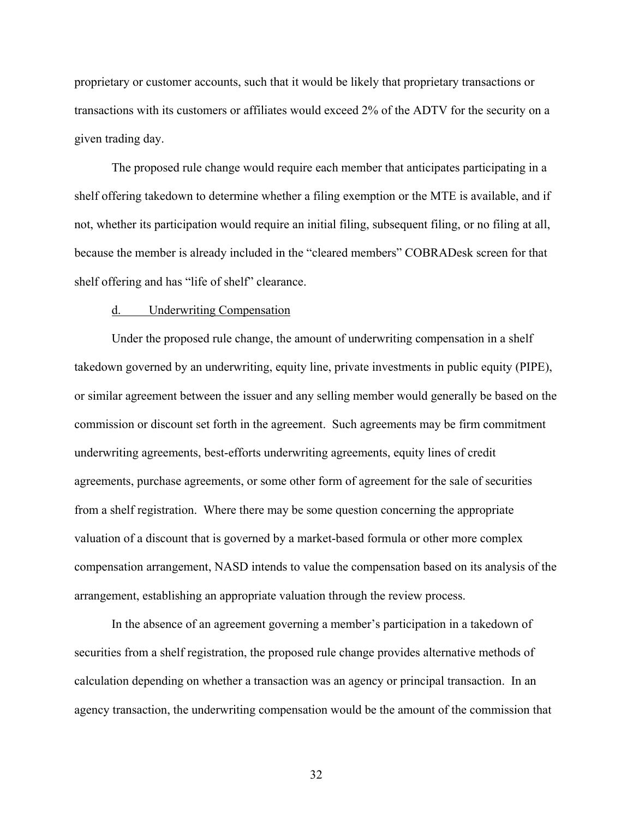proprietary or customer accounts, such that it would be likely that proprietary transactions or transactions with its customers or affiliates would exceed 2% of the ADTV for the security on a given trading day.

 The proposed rule change would require each member that anticipates participating in a shelf offering takedown to determine whether a filing exemption or the MTE is available, and if not, whether its participation would require an initial filing, subsequent filing, or no filing at all, because the member is already included in the "cleared members" COBRADesk screen for that shelf offering and has "life of shelf" clearance.

#### d. Underwriting Compensation

Under the proposed rule change, the amount of underwriting compensation in a shelf takedown governed by an underwriting, equity line, private investments in public equity (PIPE), or similar agreement between the issuer and any selling member would generally be based on the commission or discount set forth in the agreement. Such agreements may be firm commitment underwriting agreements, best-efforts underwriting agreements, equity lines of credit agreements, purchase agreements, or some other form of agreement for the sale of securities from a shelf registration. Where there may be some question concerning the appropriate valuation of a discount that is governed by a market-based formula or other more complex compensation arrangement, NASD intends to value the compensation based on its analysis of the arrangement, establishing an appropriate valuation through the review process.

In the absence of an agreement governing a member's participation in a takedown of securities from a shelf registration, the proposed rule change provides alternative methods of calculation depending on whether a transaction was an agency or principal transaction. In an agency transaction, the underwriting compensation would be the amount of the commission that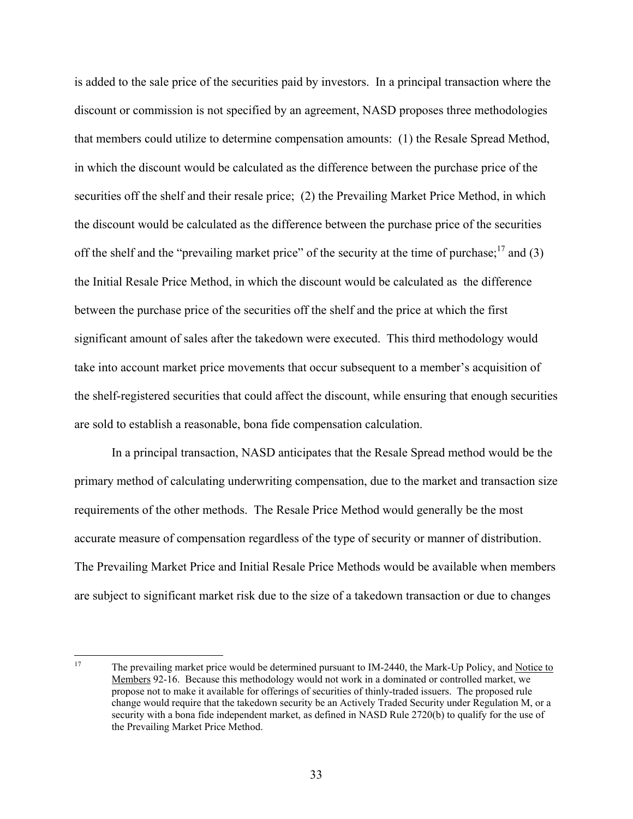is added to the sale price of the securities paid by investors. In a principal transaction where the discount or commission is not specified by an agreement, NASD proposes three methodologies that members could utilize to determine compensation amounts: (1) the Resale Spread Method, in which the discount would be calculated as the difference between the purchase price of the securities off the shelf and their resale price; (2) the Prevailing Market Price Method, in which the discount would be calculated as the difference between the purchase price of the securities off the shelf and the "prevailing market price" of the security at the time of purchase;  $\frac{17}{2}$  and (3) the Initial Resale Price Method, in which the discount would be calculated as the difference between the purchase price of the securities off the shelf and the price at which the first significant amount of sales after the takedown were executed. This third methodology would take into account market price movements that occur subsequent to a member's acquisition of the shelf-registered securities that could affect the discount, while ensuring that enough securities are sold to establish a reasonable, bona fide compensation calculation.

In a principal transaction, NASD anticipates that the Resale Spread method would be the primary method of calculating underwriting compensation, due to the market and transaction size requirements of the other methods. The Resale Price Method would generally be the most accurate measure of compensation regardless of the type of security or manner of distribution. The Prevailing Market Price and Initial Resale Price Methods would be available when members are subject to significant market risk due to the size of a takedown transaction or due to changes

<sup>17</sup> 17 The prevailing market price would be determined pursuant to IM-2440, the Mark-Up Policy, and Notice to Members 92-16. Because this methodology would not work in a dominated or controlled market, we propose not to make it available for offerings of securities of thinly-traded issuers. The proposed rule change would require that the takedown security be an Actively Traded Security under Regulation M, or a security with a bona fide independent market, as defined in NASD Rule 2720(b) to qualify for the use of the Prevailing Market Price Method.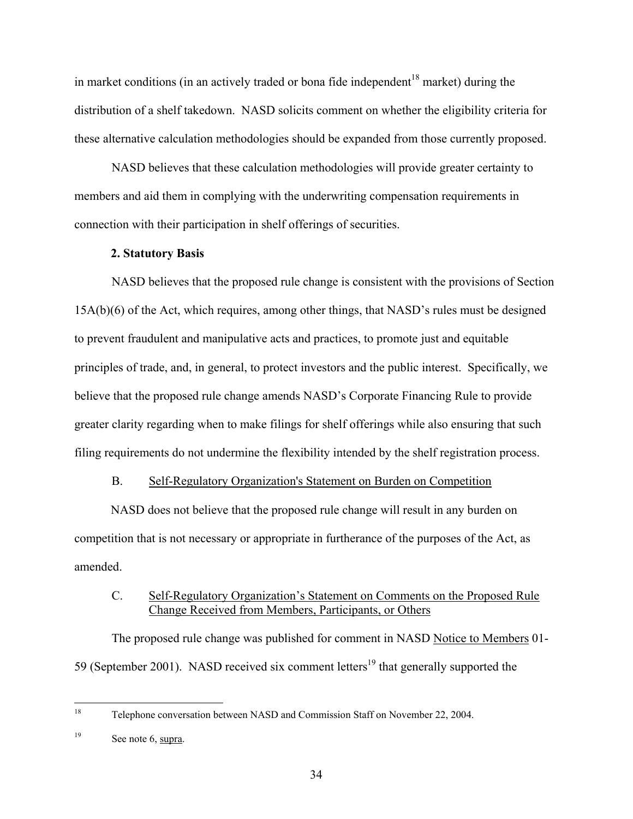in market conditions (in an actively traded or bona fide independent<sup>18</sup> market) during the distribution of a shelf takedown. NASD solicits comment on whether the eligibility criteria for these alternative calculation methodologies should be expanded from those currently proposed.

 NASD believes that these calculation methodologies will provide greater certainty to members and aid them in complying with the underwriting compensation requirements in connection with their participation in shelf offerings of securities.

# **2. Statutory Basis**

 NASD believes that the proposed rule change is consistent with the provisions of Section 15A(b)(6) of the Act, which requires, among other things, that NASD's rules must be designed to prevent fraudulent and manipulative acts and practices, to promote just and equitable principles of trade, and, in general, to protect investors and the public interest. Specifically, we believe that the proposed rule change amends NASD's Corporate Financing Rule to provide greater clarity regarding when to make filings for shelf offerings while also ensuring that such filing requirements do not undermine the flexibility intended by the shelf registration process.

# B. Self-Regulatory Organization's Statement on Burden on Competition

NASD does not believe that the proposed rule change will result in any burden on competition that is not necessary or appropriate in furtherance of the purposes of the Act, as amended.

# C. Self-Regulatory Organization's Statement on Comments on the Proposed Rule Change Received from Members, Participants, or Others

The proposed rule change was published for comment in NASD Notice to Members 01- 59 (September 2001). NASD received six comment letters<sup>19</sup> that generally supported the

<sup>18</sup> 18 Telephone conversation between NASD and Commission Staff on November 22, 2004.

<sup>&</sup>lt;sup>19</sup> See note 6, supra.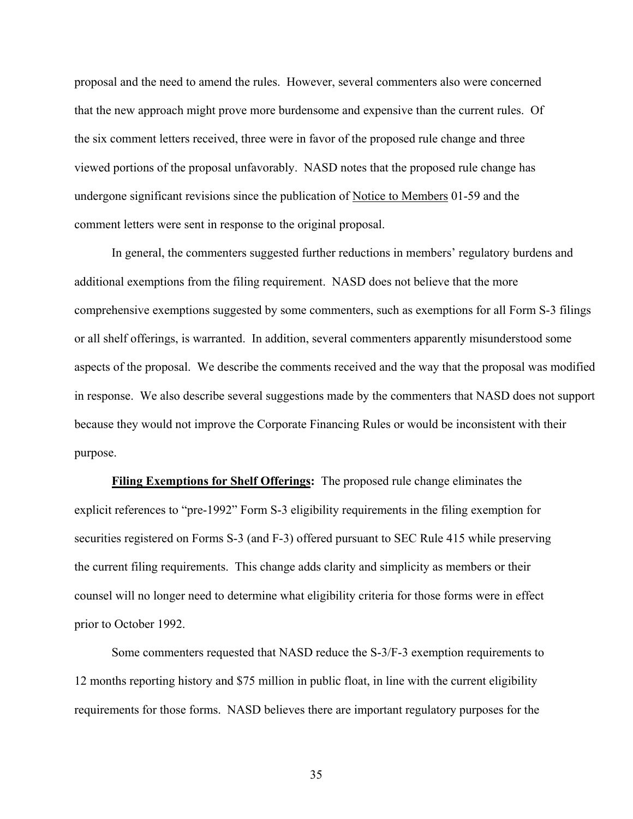proposal and the need to amend the rules. However, several commenters also were concerned that the new approach might prove more burdensome and expensive than the current rules. Of the six comment letters received, three were in favor of the proposed rule change and three viewed portions of the proposal unfavorably. NASD notes that the proposed rule change has undergone significant revisions since the publication of Notice to Members 01-59 and the comment letters were sent in response to the original proposal.

 In general, the commenters suggested further reductions in members' regulatory burdens and additional exemptions from the filing requirement. NASD does not believe that the more comprehensive exemptions suggested by some commenters, such as exemptions for all Form S-3 filings or all shelf offerings, is warranted. In addition, several commenters apparently misunderstood some aspects of the proposal. We describe the comments received and the way that the proposal was modified in response. We also describe several suggestions made by the commenters that NASD does not support because they would not improve the Corporate Financing Rules or would be inconsistent with their purpose.

**Filing Exemptions for Shelf Offerings:** The proposed rule change eliminates the explicit references to "pre-1992" Form S-3 eligibility requirements in the filing exemption for securities registered on Forms S-3 (and F-3) offered pursuant to SEC Rule 415 while preserving the current filing requirements. This change adds clarity and simplicity as members or their counsel will no longer need to determine what eligibility criteria for those forms were in effect prior to October 1992.

Some commenters requested that NASD reduce the S-3/F-3 exemption requirements to 12 months reporting history and \$75 million in public float, in line with the current eligibility requirements for those forms. NASD believes there are important regulatory purposes for the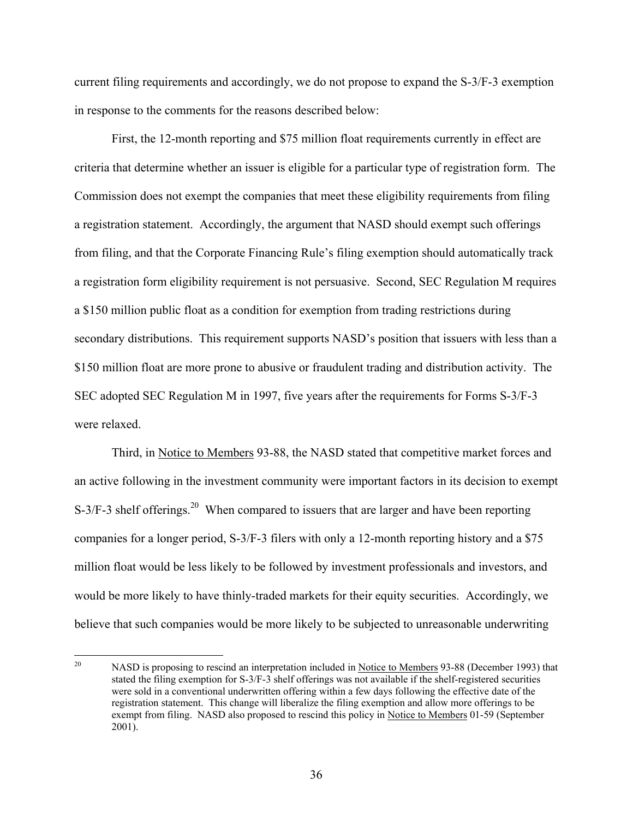current filing requirements and accordingly, we do not propose to expand the S-3/F-3 exemption in response to the comments for the reasons described below:

First, the 12-month reporting and \$75 million float requirements currently in effect are criteria that determine whether an issuer is eligible for a particular type of registration form. The Commission does not exempt the companies that meet these eligibility requirements from filing a registration statement. Accordingly, the argument that NASD should exempt such offerings from filing, and that the Corporate Financing Rule's filing exemption should automatically track a registration form eligibility requirement is not persuasive. Second, SEC Regulation M requires a \$150 million public float as a condition for exemption from trading restrictions during secondary distributions. This requirement supports NASD's position that issuers with less than a \$150 million float are more prone to abusive or fraudulent trading and distribution activity. The SEC adopted SEC Regulation M in 1997, five years after the requirements for Forms S-3/F-3 were relaxed.

 Third, in Notice to Members 93-88, the NASD stated that competitive market forces and an active following in the investment community were important factors in its decision to exempt S-3/F-3 shelf offerings.<sup>20</sup> When compared to issuers that are larger and have been reporting companies for a longer period, S-3/F-3 filers with only a 12-month reporting history and a \$75 million float would be less likely to be followed by investment professionals and investors, and would be more likely to have thinly-traded markets for their equity securities. Accordingly, we believe that such companies would be more likely to be subjected to unreasonable underwriting

<sup>20</sup> NASD is proposing to rescind an interpretation included in Notice to Members 93-88 (December 1993) that stated the filing exemption for S-3/F-3 shelf offerings was not available if the shelf-registered securities were sold in a conventional underwritten offering within a few days following the effective date of the registration statement. This change will liberalize the filing exemption and allow more offerings to be exempt from filing. NASD also proposed to rescind this policy in Notice to Members 01-59 (September 2001).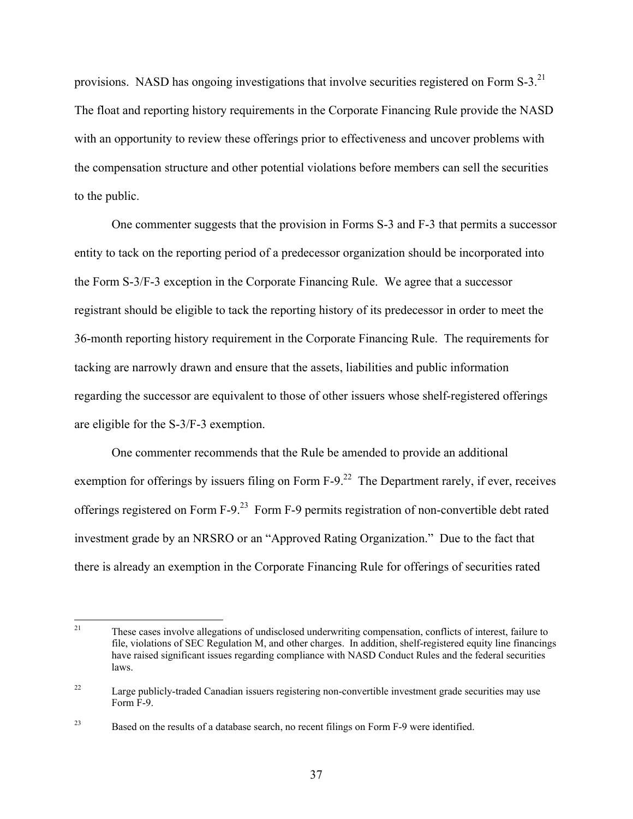provisions. NASD has ongoing investigations that involve securities registered on Form  $S-3$ .<sup>21</sup> The float and reporting history requirements in the Corporate Financing Rule provide the NASD with an opportunity to review these offerings prior to effectiveness and uncover problems with the compensation structure and other potential violations before members can sell the securities to the public.

 One commenter suggests that the provision in Forms S-3 and F-3 that permits a successor entity to tack on the reporting period of a predecessor organization should be incorporated into the Form S-3/F-3 exception in the Corporate Financing Rule. We agree that a successor registrant should be eligible to tack the reporting history of its predecessor in order to meet the 36-month reporting history requirement in the Corporate Financing Rule. The requirements for tacking are narrowly drawn and ensure that the assets, liabilities and public information regarding the successor are equivalent to those of other issuers whose shelf-registered offerings are eligible for the S-3/F-3 exemption.

One commenter recommends that the Rule be amended to provide an additional exemption for offerings by issuers filing on Form  $F-9<sup>22</sup>$  The Department rarely, if ever, receives offerings registered on Form F-9.23 Form F-9 permits registration of non-convertible debt rated investment grade by an NRSRO or an "Approved Rating Organization." Due to the fact that there is already an exemption in the Corporate Financing Rule for offerings of securities rated

<sup>21</sup> These cases involve allegations of undisclosed underwriting compensation, conflicts of interest, failure to file, violations of SEC Regulation M, and other charges. In addition, shelf-registered equity line financings have raised significant issues regarding compliance with NASD Conduct Rules and the federal securities laws.

<sup>&</sup>lt;sup>22</sup> Large publicly-traded Canadian issuers registering non-convertible investment grade securities may use Form F-9.

<sup>&</sup>lt;sup>23</sup> Based on the results of a database search, no recent filings on Form F-9 were identified.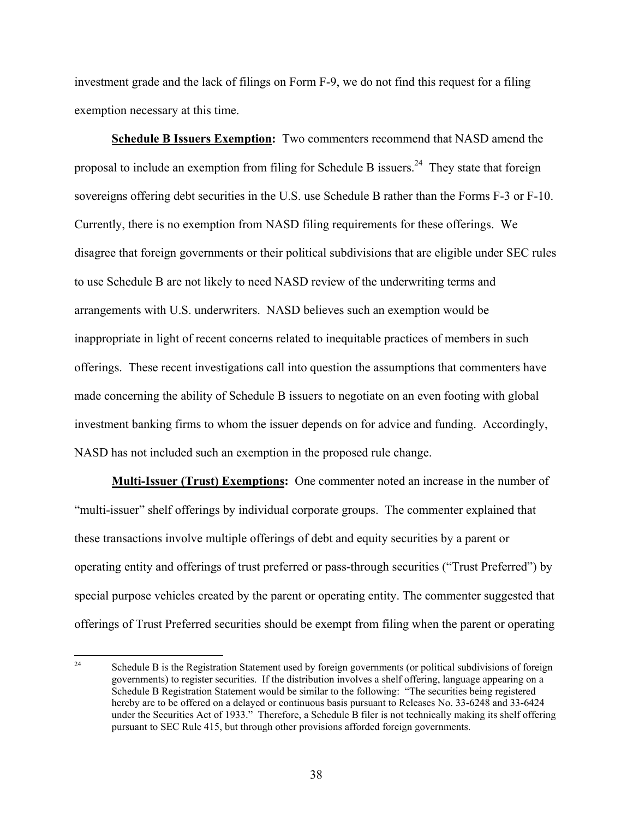investment grade and the lack of filings on Form F-9, we do not find this request for a filing exemption necessary at this time.

**Schedule B Issuers Exemption:** Two commenters recommend that NASD amend the proposal to include an exemption from filing for Schedule B issuers.<sup>24</sup> They state that foreign sovereigns offering debt securities in the U.S. use Schedule B rather than the Forms F-3 or F-10. Currently, there is no exemption from NASD filing requirements for these offerings. We disagree that foreign governments or their political subdivisions that are eligible under SEC rules to use Schedule B are not likely to need NASD review of the underwriting terms and arrangements with U.S. underwriters. NASD believes such an exemption would be inappropriate in light of recent concerns related to inequitable practices of members in such offerings. These recent investigations call into question the assumptions that commenters have made concerning the ability of Schedule B issuers to negotiate on an even footing with global investment banking firms to whom the issuer depends on for advice and funding. Accordingly, NASD has not included such an exemption in the proposed rule change.

**Multi-Issuer (Trust) Exemptions:** One commenter noted an increase in the number of "multi-issuer" shelf offerings by individual corporate groups. The commenter explained that these transactions involve multiple offerings of debt and equity securities by a parent or operating entity and offerings of trust preferred or pass-through securities ("Trust Preferred") by special purpose vehicles created by the parent or operating entity. The commenter suggested that offerings of Trust Preferred securities should be exempt from filing when the parent or operating

 $24$ 24 Schedule B is the Registration Statement used by foreign governments (or political subdivisions of foreign governments) to register securities. If the distribution involves a shelf offering, language appearing on a Schedule B Registration Statement would be similar to the following: "The securities being registered hereby are to be offered on a delayed or continuous basis pursuant to Releases No. 33-6248 and 33-6424 under the Securities Act of 1933." Therefore, a Schedule B filer is not technically making its shelf offering pursuant to SEC Rule 415, but through other provisions afforded foreign governments.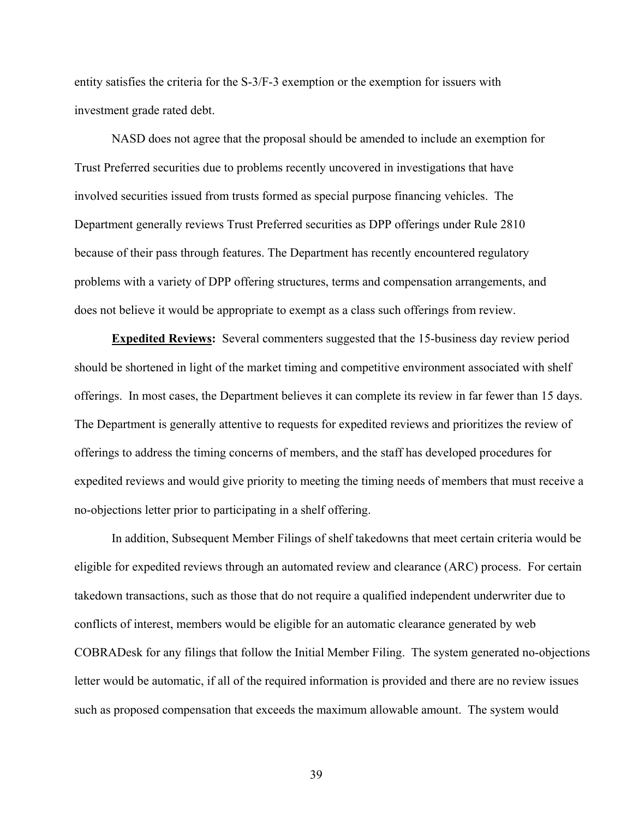entity satisfies the criteria for the S-3/F-3 exemption or the exemption for issuers with investment grade rated debt.

NASD does not agree that the proposal should be amended to include an exemption for Trust Preferred securities due to problems recently uncovered in investigations that have involved securities issued from trusts formed as special purpose financing vehicles. The Department generally reviews Trust Preferred securities as DPP offerings under Rule 2810 because of their pass through features. The Department has recently encountered regulatory problems with a variety of DPP offering structures, terms and compensation arrangements, and does not believe it would be appropriate to exempt as a class such offerings from review.

**Expedited Reviews:** Several commenters suggested that the 15-business day review period should be shortened in light of the market timing and competitive environment associated with shelf offerings. In most cases, the Department believes it can complete its review in far fewer than 15 days. The Department is generally attentive to requests for expedited reviews and prioritizes the review of offerings to address the timing concerns of members, and the staff has developed procedures for expedited reviews and would give priority to meeting the timing needs of members that must receive a no-objections letter prior to participating in a shelf offering.

 In addition, Subsequent Member Filings of shelf takedowns that meet certain criteria would be eligible for expedited reviews through an automated review and clearance (ARC) process. For certain takedown transactions, such as those that do not require a qualified independent underwriter due to conflicts of interest, members would be eligible for an automatic clearance generated by web COBRADesk for any filings that follow the Initial Member Filing. The system generated no-objections letter would be automatic, if all of the required information is provided and there are no review issues such as proposed compensation that exceeds the maximum allowable amount. The system would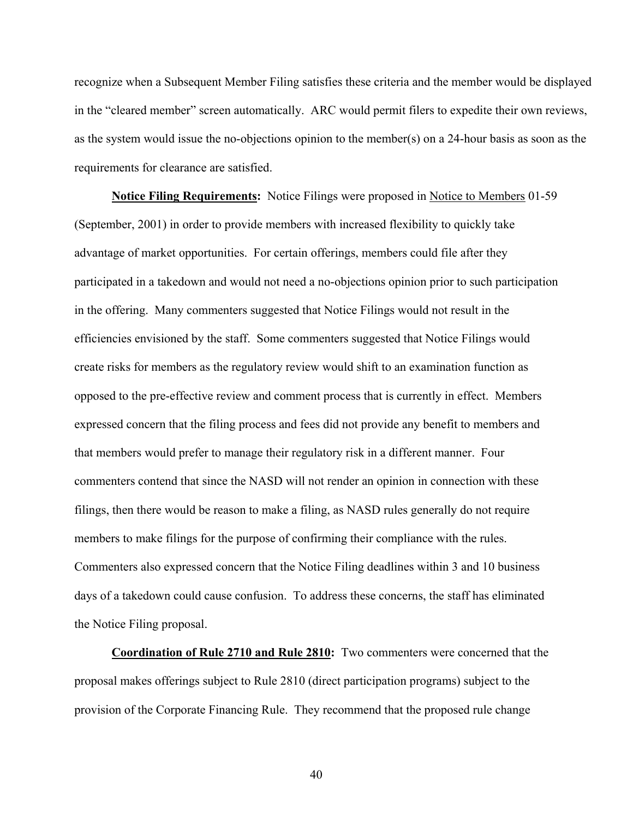recognize when a Subsequent Member Filing satisfies these criteria and the member would be displayed in the "cleared member" screen automatically. ARC would permit filers to expedite their own reviews, as the system would issue the no-objections opinion to the member(s) on a 24-hour basis as soon as the requirements for clearance are satisfied.

**Notice Filing Requirements:** Notice Filings were proposed in Notice to Members 01-59 (September, 2001) in order to provide members with increased flexibility to quickly take advantage of market opportunities. For certain offerings, members could file after they participated in a takedown and would not need a no-objections opinion prior to such participation in the offering. Many commenters suggested that Notice Filings would not result in the efficiencies envisioned by the staff. Some commenters suggested that Notice Filings would create risks for members as the regulatory review would shift to an examination function as opposed to the pre-effective review and comment process that is currently in effect. Members expressed concern that the filing process and fees did not provide any benefit to members and that members would prefer to manage their regulatory risk in a different manner. Four commenters contend that since the NASD will not render an opinion in connection with these filings, then there would be reason to make a filing, as NASD rules generally do not require members to make filings for the purpose of confirming their compliance with the rules. Commenters also expressed concern that the Notice Filing deadlines within 3 and 10 business days of a takedown could cause confusion. To address these concerns, the staff has eliminated the Notice Filing proposal.

**Coordination of Rule 2710 and Rule 2810:** Two commenters were concerned that the proposal makes offerings subject to Rule 2810 (direct participation programs) subject to the provision of the Corporate Financing Rule. They recommend that the proposed rule change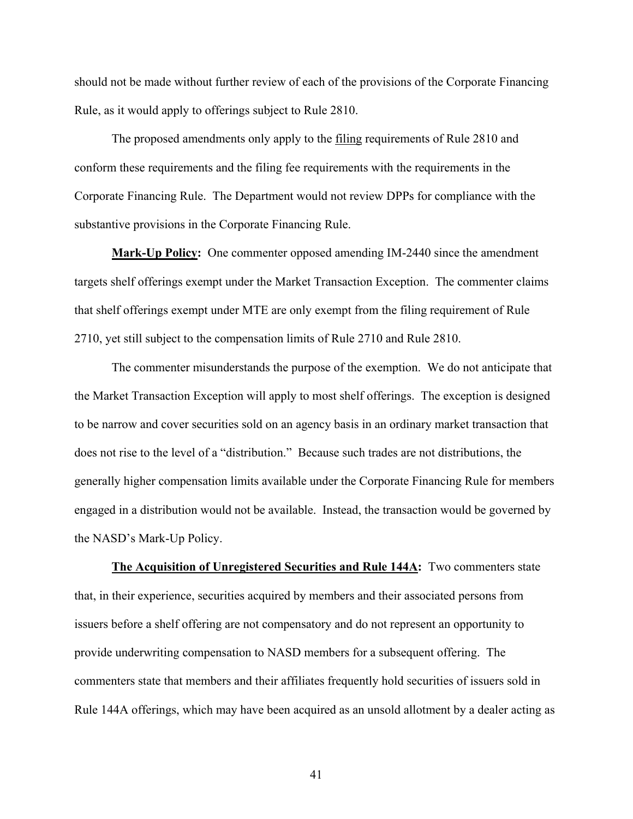should not be made without further review of each of the provisions of the Corporate Financing Rule, as it would apply to offerings subject to Rule 2810.

The proposed amendments only apply to the filing requirements of Rule 2810 and conform these requirements and the filing fee requirements with the requirements in the Corporate Financing Rule. The Department would not review DPPs for compliance with the substantive provisions in the Corporate Financing Rule.

**Mark-Up Policy:** One commenter opposed amending IM-2440 since the amendment targets shelf offerings exempt under the Market Transaction Exception. The commenter claims that shelf offerings exempt under MTE are only exempt from the filing requirement of Rule 2710, yet still subject to the compensation limits of Rule 2710 and Rule 2810.

The commenter misunderstands the purpose of the exemption. We do not anticipate that the Market Transaction Exception will apply to most shelf offerings. The exception is designed to be narrow and cover securities sold on an agency basis in an ordinary market transaction that does not rise to the level of a "distribution." Because such trades are not distributions, the generally higher compensation limits available under the Corporate Financing Rule for members engaged in a distribution would not be available. Instead, the transaction would be governed by the NASD's Mark-Up Policy.

**The Acquisition of Unregistered Securities and Rule 144A:** Two commenters state that, in their experience, securities acquired by members and their associated persons from issuers before a shelf offering are not compensatory and do not represent an opportunity to provide underwriting compensation to NASD members for a subsequent offering. The commenters state that members and their affiliates frequently hold securities of issuers sold in Rule 144A offerings, which may have been acquired as an unsold allotment by a dealer acting as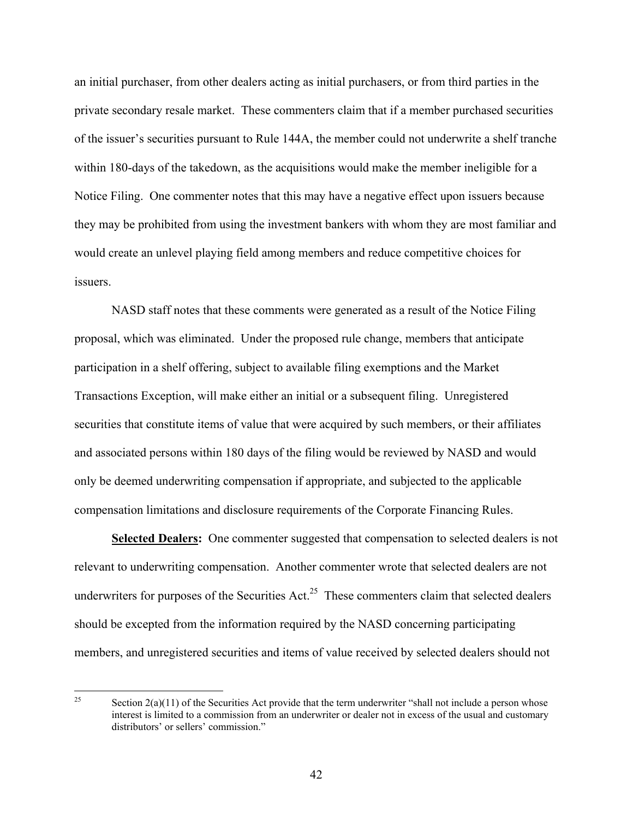an initial purchaser, from other dealers acting as initial purchasers, or from third parties in the private secondary resale market. These commenters claim that if a member purchased securities of the issuer's securities pursuant to Rule 144A, the member could not underwrite a shelf tranche within 180-days of the takedown, as the acquisitions would make the member ineligible for a Notice Filing. One commenter notes that this may have a negative effect upon issuers because they may be prohibited from using the investment bankers with whom they are most familiar and would create an unlevel playing field among members and reduce competitive choices for issuers.

NASD staff notes that these comments were generated as a result of the Notice Filing proposal, which was eliminated. Under the proposed rule change, members that anticipate participation in a shelf offering, subject to available filing exemptions and the Market Transactions Exception, will make either an initial or a subsequent filing. Unregistered securities that constitute items of value that were acquired by such members, or their affiliates and associated persons within 180 days of the filing would be reviewed by NASD and would only be deemed underwriting compensation if appropriate, and subjected to the applicable compensation limitations and disclosure requirements of the Corporate Financing Rules.

**Selected Dealers:** One commenter suggested that compensation to selected dealers is not relevant to underwriting compensation. Another commenter wrote that selected dealers are not underwriters for purposes of the Securities Act.<sup>25</sup> These commenters claim that selected dealers should be excepted from the information required by the NASD concerning participating members, and unregistered securities and items of value received by selected dealers should not

 $25$ Section  $2(a)(11)$  of the Securities Act provide that the term underwriter "shall not include a person whose interest is limited to a commission from an underwriter or dealer not in excess of the usual and customary distributors' or sellers' commission."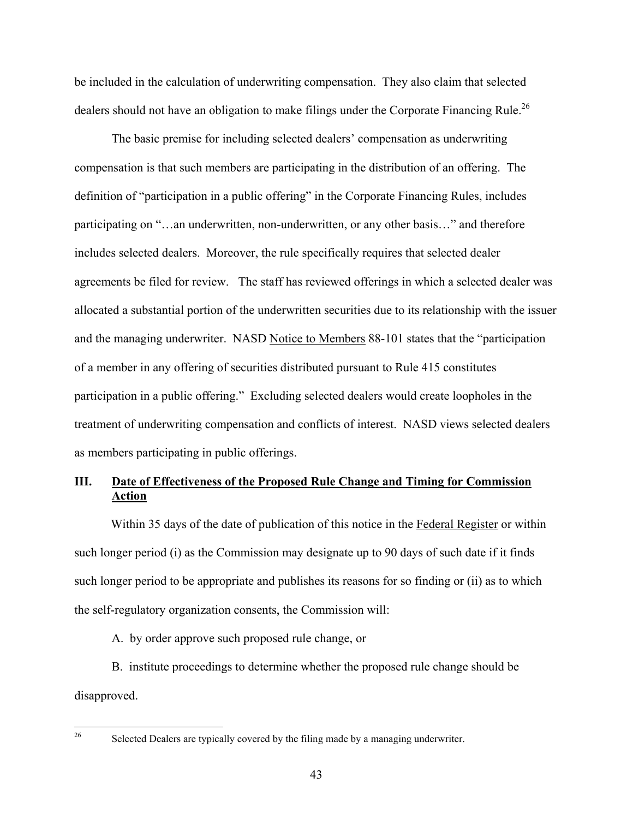be included in the calculation of underwriting compensation. They also claim that selected dealers should not have an obligation to make filings under the Corporate Financing Rule.<sup>26</sup>

The basic premise for including selected dealers' compensation as underwriting compensation is that such members are participating in the distribution of an offering. The definition of "participation in a public offering" in the Corporate Financing Rules, includes participating on "…an underwritten, non-underwritten, or any other basis…" and therefore includes selected dealers. Moreover, the rule specifically requires that selected dealer agreements be filed for review. The staff has reviewed offerings in which a selected dealer was allocated a substantial portion of the underwritten securities due to its relationship with the issuer and the managing underwriter. NASD Notice to Members 88-101 states that the "participation of a member in any offering of securities distributed pursuant to Rule 415 constitutes participation in a public offering." Excluding selected dealers would create loopholes in the treatment of underwriting compensation and conflicts of interest. NASD views selected dealers as members participating in public offerings.

# **III. Date of Effectiveness of the Proposed Rule Change and Timing for Commission Action**

Within 35 days of the date of publication of this notice in the Federal Register or within such longer period (i) as the Commission may designate up to 90 days of such date if it finds such longer period to be appropriate and publishes its reasons for so finding or (ii) as to which the self-regulatory organization consents, the Commission will:

A. by order approve such proposed rule change, or

 B. institute proceedings to determine whether the proposed rule change should be disapproved.

Selected Dealers are typically covered by the filing made by a managing underwriter.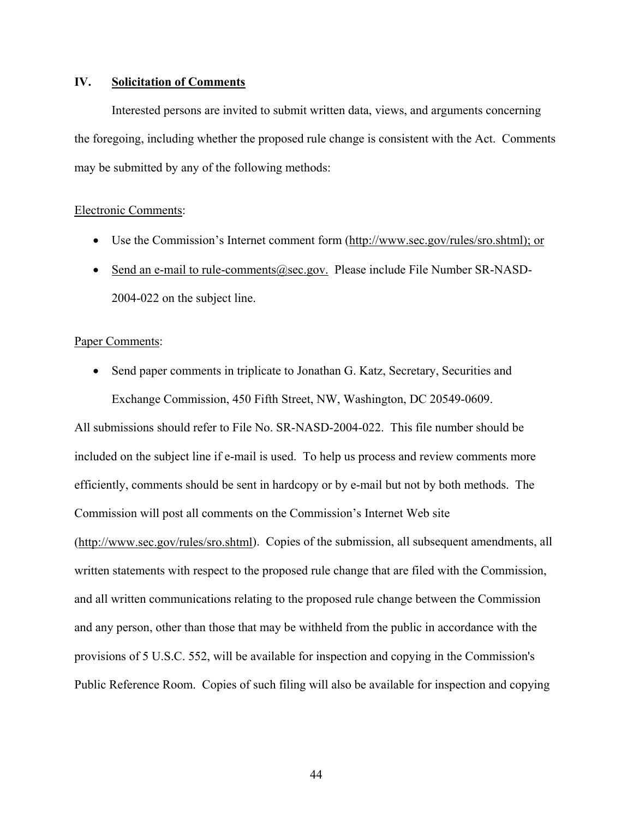# **IV. Solicitation of Comments**

Interested persons are invited to submit written data, views, and arguments concerning the foregoing, including whether the proposed rule change is consistent with the Act. Comments may be submitted by any of the following methods:

#### Electronic Comments:

- Use the Commission's Internet comment form (http://www.sec.gov/rules/sro.shtml); or
- Send an e-mail to rule-comments@sec.gov. Please include File Number SR-NASD-2004-022 on the subject line.

## Paper Comments:

• Send paper comments in triplicate to Jonathan G. Katz, Secretary, Securities and Exchange Commission, 450 Fifth Street, NW, Washington, DC 20549-0609.

All submissions should refer to File No. SR-NASD-2004-022. This file number should be included on the subject line if e-mail is used. To help us process and review comments more efficiently, comments should be sent in hardcopy or by e-mail but not by both methods. The Commission will post all comments on the Commission's Internet Web site (http://www.sec.gov/rules/sro.shtml). Copies of the submission, all subsequent amendments, all written statements with respect to the proposed rule change that are filed with the Commission, and all written communications relating to the proposed rule change between the Commission and any person, other than those that may be withheld from the public in accordance with the provisions of 5 U.S.C. 552, will be available for inspection and copying in the Commission's Public Reference Room. Copies of such filing will also be available for inspection and copying